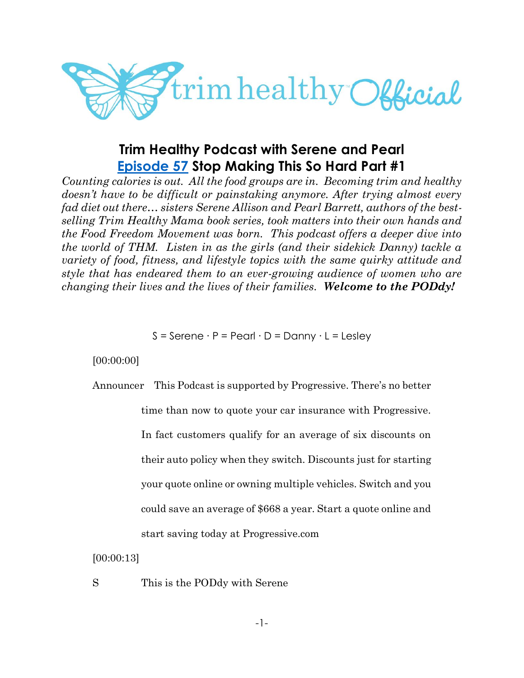

# **Trim Healthy Podcast with Serene and Pearl [Episode 57](https://cms.megaphone.fm/channel/trimhealthypodcast?selected=ADL7369205351) Stop Making This So Hard Part #1**

*Counting calories is out. All the food groups are in. Becoming trim and healthy doesn't have to be difficult or painstaking anymore. After trying almost every fad diet out there… sisters Serene Allison and Pearl Barrett, authors of the bestselling Trim Healthy Mama book series, took matters into their own hands and the Food Freedom Movement was born. This podcast offers a deeper dive into the world of THM. Listen in as the girls (and their sidekick Danny) tackle a variety of food, fitness, and lifestyle topics with the same quirky attitude and style that has endeared them to an ever-growing audience of women who are changing their lives and the lives of their families. Welcome to the PODdy!*

S = Serene ∙ P = Pearl ∙ D = Danny ∙ L = Lesley

[00:00:00]

Announcer This Podcast is supported by Progressive. There's no better

time than now to quote your car insurance with Progressive.

In fact customers qualify for an average of six discounts on

their auto policy when they switch. Discounts just for starting

your quote online or owning multiple vehicles. Switch and you

could save an average of \$668 a year. Start a quote online and

start saving today at Progressive.com

[00:00:13]

S This is the PODdy with Serene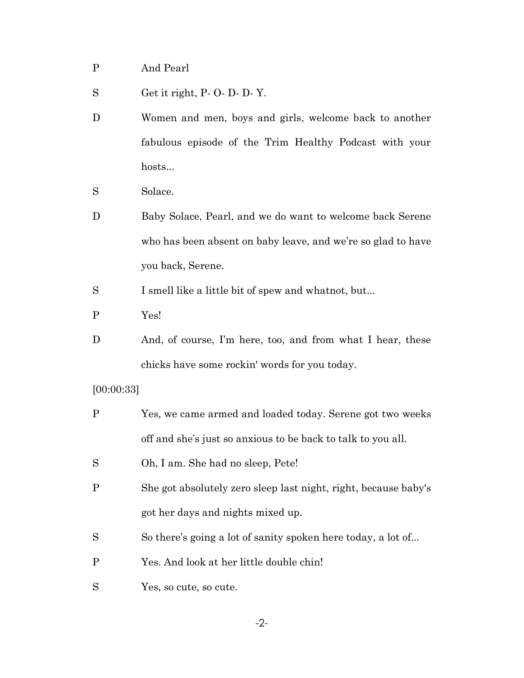- P And Pearl
- S Get it right, P- O- D- D- Y.
- D Women and men, boys and girls, welcome back to another fabulous episode of the Trim Healthy Podcast with your hosts...
- S Solace.
- D Baby Solace, Pearl, and we do want to welcome back Serene who has been absent on baby leave, and we're so glad to have you back, Serene.

S I smell like a little bit of spew and whatnot, but...

- P Yes!
- D And, of course, I'm here, too, and from what I hear, these chicks have some rockin' words for you today.

[00:00:33]

- P Yes, we came armed and loaded today. Serene got two weeks off and she's just so anxious to be back to talk to you all.
- S Oh, I am. She had no sleep, Pete!
- P She got absolutely zero sleep last night, right, because baby's got her days and nights mixed up.
- S So there's going a lot of sanity spoken here today, a lot of...
- P Yes. And look at her little double chin!
- S Yes, so cute, so cute.

-2-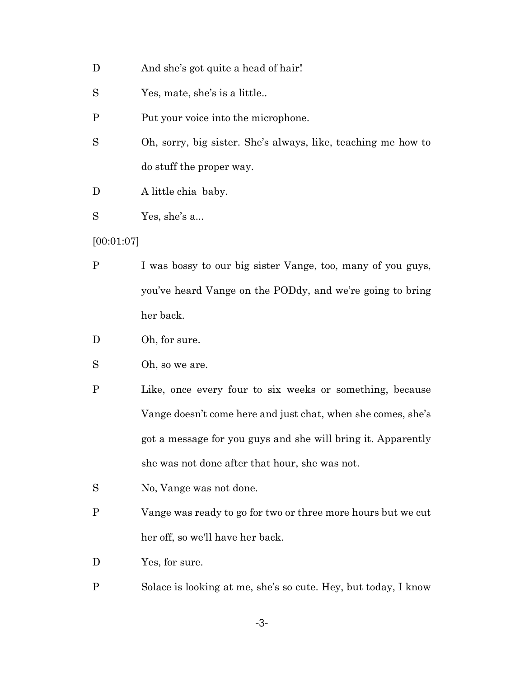- D And she's got quite a head of hair!
- S Yes, mate, she's is a little..
- P Put your voice into the microphone.
- S Oh, sorry, big sister. She's always, like, teaching me how to do stuff the proper way.
- D A little chia baby.
- S Yes, she's a...

[00:01:07]

- P I was bossy to our big sister Vange, too, many of you guys, you've heard Vange on the PODdy, and we're going to bring her back.
- D Oh, for sure.
- S Oh, so we are.
- P Like, once every four to six weeks or something, because Vange doesn't come here and just chat, when she comes, she's got a message for you guys and she will bring it. Apparently she was not done after that hour, she was not.
- S No, Vange was not done.
- P Vange was ready to go for two or three more hours but we cut her off, so we'll have her back.
- D Yes, for sure.
- P Solace is looking at me, she's so cute. Hey, but today, I know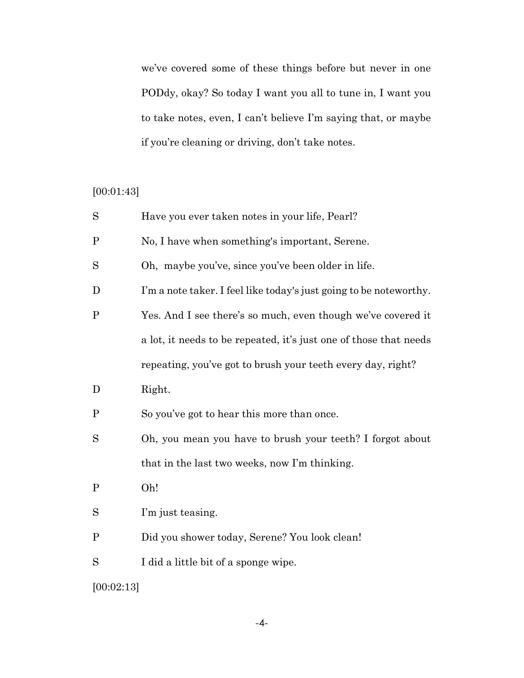we've covered some of these things before but never in one PODdy, okay? So today I want you all to tune in, I want you to take notes, even, I can't believe I'm saying that, or maybe if you're cleaning or driving, don't take notes.

## [00:01:43]

| S            | Have you ever taken notes in your life, Pearl?                     |
|--------------|--------------------------------------------------------------------|
| $\mathbf P$  | No, I have when something's important, Serene.                     |
| S            | Oh, maybe you've, since you've been older in life.                 |
| D            | I'm a note taker. I feel like today's just going to be noteworthy. |
| $\mathbf P$  | Yes. And I see there's so much, even though we've covered it       |
|              | a lot, it needs to be repeated, it's just one of those that needs  |
|              | repeating, you've got to brush your teeth every day, right?        |
| D            | Right.                                                             |
| $\mathbf{P}$ | So you've got to hear this more than once.                         |
| S            | Oh, you mean you have to brush your teeth? I forgot about          |
|              | that in the last two weeks, now I'm thinking.                      |
| $\mathbf P$  | Oh!                                                                |
| S            | I'm just teasing.                                                  |
| $\mathbf P$  | Did you shower today, Serene? You look clean!                      |
| S            | I did a little bit of a sponge wipe.                               |
|              |                                                                    |

[00:02:13]

-4-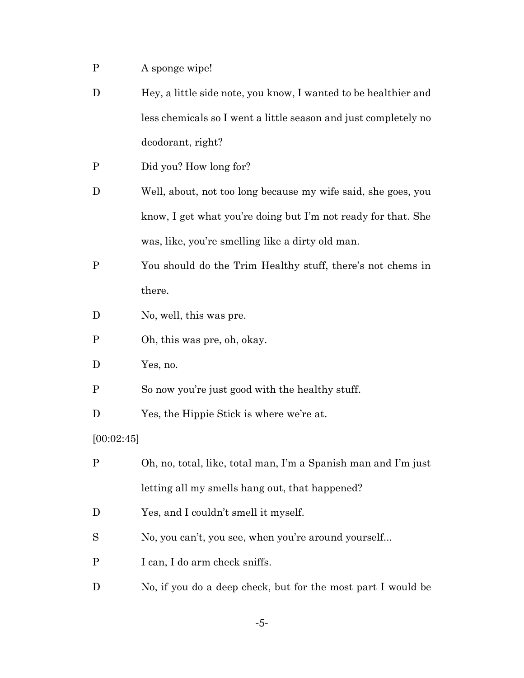- P A sponge wipe!
- D Hey, a little side note, you know, I wanted to be healthier and less chemicals so I went a little season and just completely no deodorant, right?
- P Did you? How long for?
- D Well, about, not too long because my wife said, she goes, you know, I get what you're doing but I'm not ready for that. She was, like, you're smelling like a dirty old man.
- P You should do the Trim Healthy stuff, there's not chems in there.
- D No, well, this was pre.
- P Oh, this was pre, oh, okay.
- D Yes, no.
- P So now you're just good with the healthy stuff.
- D Yes, the Hippie Stick is where we're at.

[00:02:45]

- P Oh, no, total, like, total man, I'm a Spanish man and I'm just letting all my smells hang out, that happened?
- D Yes, and I couldn't smell it myself.
- S No, you can't, you see, when you're around yourself...
- P I can, I do arm check sniffs.
- D No, if you do a deep check, but for the most part I would be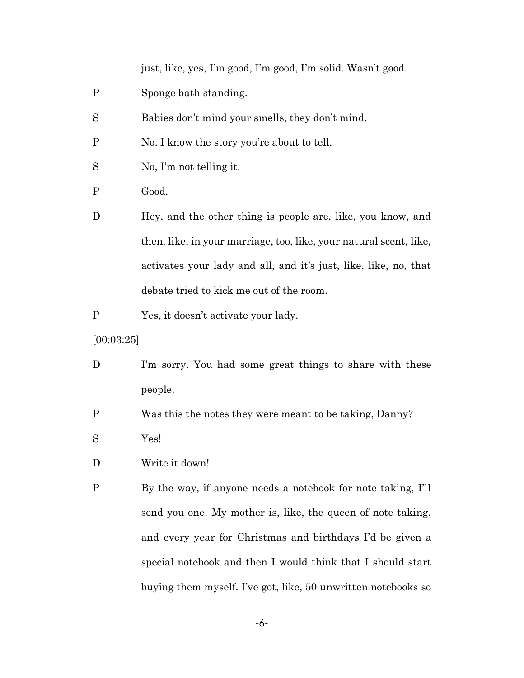just, like, yes, I'm good, I'm good, I'm solid. Wasn't good.

- P Sponge bath standing.
- S Babies don't mind your smells, they don't mind.
- P No. I know the story you're about to tell.
- S No, I'm not telling it.
- P Good.
- D Hey, and the other thing is people are, like, you know, and then, like, in your marriage, too, like, your natural scent, like, activates your lady and all, and it's just, like, like, no, that debate tried to kick me out of the room.
- P Yes, it doesn't activate your lady.
- [00:03:25]
- D I'm sorry. You had some great things to share with these people.
- P Was this the notes they were meant to be taking, Danny?
- S Yes!
- D Write it down!
- P By the way, if anyone needs a notebook for note taking, I'll send you one. My mother is, like, the queen of note taking, and every year for Christmas and birthdays I'd be given a special notebook and then I would think that I should start buying them myself. I've got, like, 50 unwritten notebooks so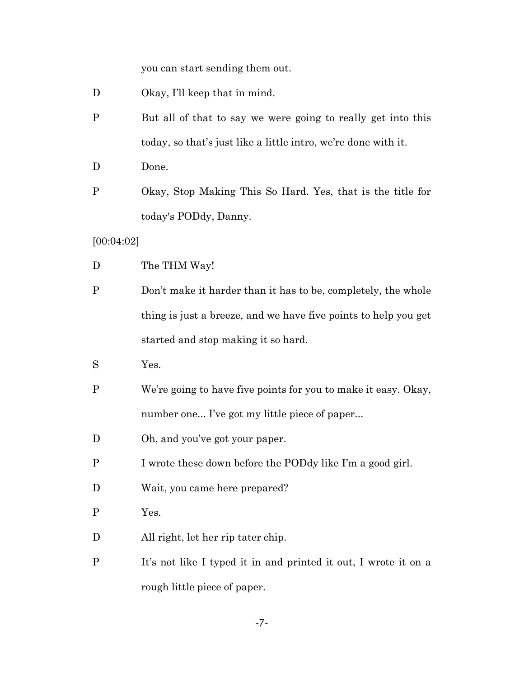you can start sending them out.

- D Okay, I'll keep that in mind.
- P But all of that to say we were going to really get into this today, so that's just like a little intro, we're done with it.
- D Done.
- P Okay, Stop Making This So Hard. Yes, that is the title for today's PODdy, Danny.

[00:04:02]

- D The THM Way!
- P Don't make it harder than it has to be, completely, the whole thing is just a breeze, and we have five points to help you get started and stop making it so hard.

S Yes.

- P We're going to have five points for you to make it easy. Okay, number one... I've got my little piece of paper...
- D Oh, and you've got your paper.
- P I wrote these down before the PODdy like I'm a good girl.
- D Wait, you came here prepared?
- P Yes.
- D All right, let her rip tater chip.
- P It's not like I typed it in and printed it out, I wrote it on a rough little piece of paper.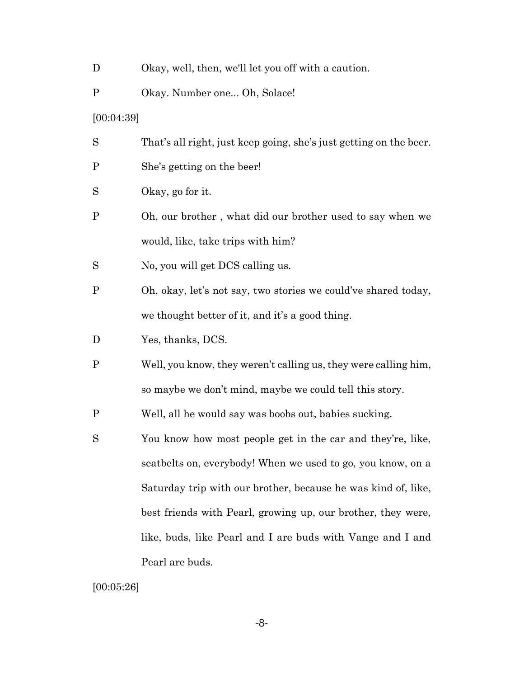- D Okay, well, then, we'll let you off with a caution.
- P Okay. Number one... Oh, Solace!
- [00:04:39]
- S That's all right, just keep going, she's just getting on the beer.
- P She's getting on the beer!
- S Okay, go for it.
- P Oh, our brother , what did our brother used to say when we would, like, take trips with him?
- S No, you will get DCS calling us.
- P Oh, okay, let's not say, two stories we could've shared today, we thought better of it, and it's a good thing.
- D Yes, thanks, DCS.
- P Well, you know, they weren't calling us, they were calling him, so maybe we don't mind, maybe we could tell this story.
- P Well, all he would say was boobs out, babies sucking.
- S You know how most people get in the car and they're, like, seatbelts on, everybody! When we used to go, you know, on a Saturday trip with our brother, because he was kind of, like, best friends with Pearl, growing up, our brother, they were, like, buds, like Pearl and I are buds with Vange and I and Pearl are buds.

[00:05:26]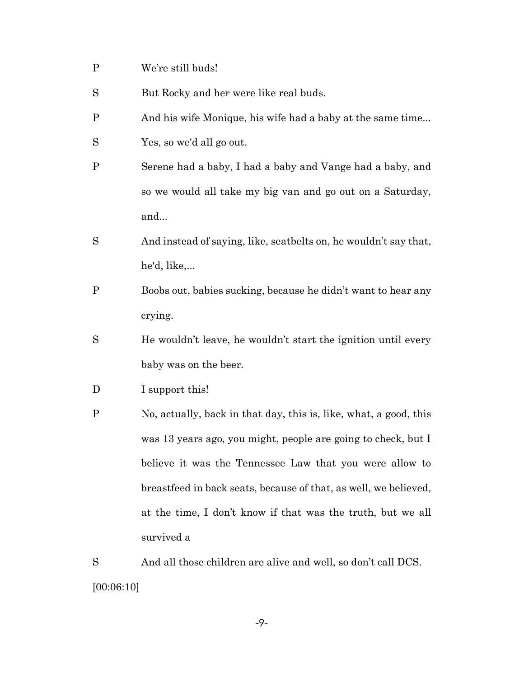- P We're still buds!
- S But Rocky and her were like real buds.
- P And his wife Monique, his wife had a baby at the same time...
- S Yes, so we'd all go out.
- P Serene had a baby, I had a baby and Vange had a baby, and so we would all take my big van and go out on a Saturday, and...
- S And instead of saying, like, seatbelts on, he wouldn't say that, he'd, like,...
- P Boobs out, babies sucking, because he didn't want to hear any crying.
- S He wouldn't leave, he wouldn't start the ignition until every baby was on the beer.
- D I support this!
- P No, actually, back in that day, this is, like, what, a good, this was 13 years ago, you might, people are going to check, but I believe it was the Tennessee Law that you were allow to breastfeed in back seats, because of that, as well, we believed, at the time, I don't know if that was the truth, but we all survived a

S And all those children are alive and well, so don't call DCS. [00:06:10]

-9-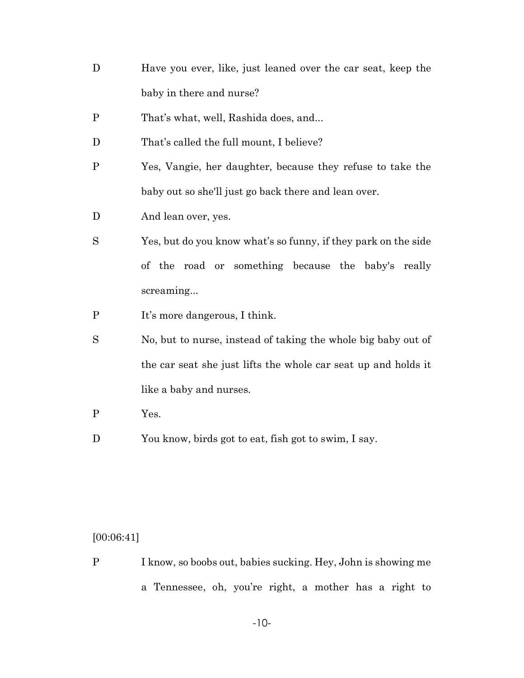- D Have you ever, like, just leaned over the car seat, keep the baby in there and nurse?
- P That's what, well, Rashida does, and...
- D That's called the full mount, I believe?
- P Yes, Vangie, her daughter, because they refuse to take the baby out so she'll just go back there and lean over.
- D And lean over, yes.
- S Yes, but do you know what's so funny, if they park on the side of the road or something because the baby's really screaming...
- P It's more dangerous, I think.
- S No, but to nurse, instead of taking the whole big baby out of the car seat she just lifts the whole car seat up and holds it like a baby and nurses.
- P Yes.
- D You know, birds got to eat, fish got to swim, I say.

## [00:06:41]

P I know, so boobs out, babies sucking. Hey, John is showing me a Tennessee, oh, you're right, a mother has a right to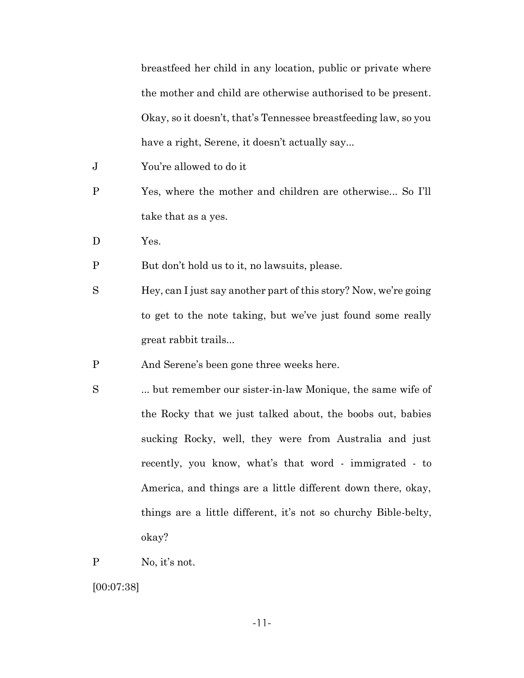breastfeed her child in any location, public or private where the mother and child are otherwise authorised to be present. Okay, so it doesn't, that's Tennessee breastfeeding law, so you have a right, Serene, it doesn't actually say...

- J You're allowed to do it
- P Yes, where the mother and children are otherwise... So I'll take that as a yes.
- D Yes.
- P But don't hold us to it, no lawsuits, please.
- S Hey, can I just say another part of this story? Now, we're going to get to the note taking, but we've just found some really great rabbit trails...
- P And Serene's been gone three weeks here.
- S ... but remember our sister-in-law Monique, the same wife of the Rocky that we just talked about, the boobs out, babies sucking Rocky, well, they were from Australia and just recently, you know, what's that word - immigrated - to America, and things are a little different down there, okay, things are a little different, it's not so churchy Bible-belty, okay?
- P No, it's not.

[00:07:38]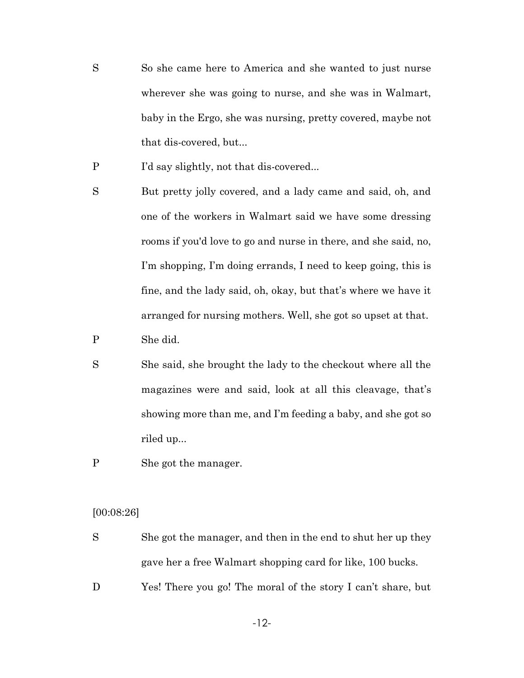- So she came here to America and she wanted to just nurse wherever she was going to nurse, and she was in Walmart, baby in the Ergo, she was nursing, pretty covered, maybe not that dis-covered, but...
- P I'd say slightly, not that dis-covered...
- S But pretty jolly covered, and a lady came and said, oh, and one of the workers in Walmart said we have some dressing rooms if you'd love to go and nurse in there, and she said, no, I'm shopping, I'm doing errands, I need to keep going, this is fine, and the lady said, oh, okay, but that's where we have it arranged for nursing mothers. Well, she got so upset at that.
- P She did.
- S She said, she brought the lady to the checkout where all the magazines were and said, look at all this cleavage, that's showing more than me, and I'm feeding a baby, and she got so riled up...
- P She got the manager.

#### [00:08:26]

- S She got the manager, and then in the end to shut her up they gave her a free Walmart shopping card for like, 100 bucks.
- D Yes! There you go! The moral of the story I can't share, but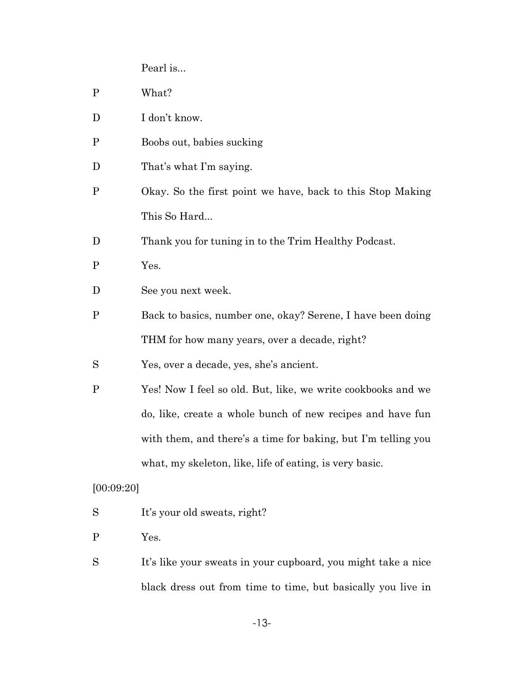Pearl is...

| $\mathbf{P}$ | What?                                                         |
|--------------|---------------------------------------------------------------|
| D            | I don't know.                                                 |
| $\mathbf P$  | Boobs out, babies sucking                                     |
| D            | That's what I'm saying.                                       |
| $\mathbf{P}$ | Okay. So the first point we have, back to this Stop Making    |
|              | This So Hard                                                  |
| D            | Thank you for tuning in to the Trim Healthy Podcast.          |
| P            | Yes.                                                          |
| D            | See you next week.                                            |
| $\mathbf P$  | Back to basics, number one, okay? Serene, I have been doing   |
|              | THM for how many years, over a decade, right?                 |
| S            | Yes, over a decade, yes, she's ancient.                       |
| P            | Yes! Now I feel so old. But, like, we write cookbooks and we  |
|              | do, like, create a whole bunch of new recipes and have fun    |
|              | with them, and there's a time for baking, but I'm telling you |
|              | what, my skeleton, like, life of eating, is very basic.       |
| [00:09:20]   |                                                               |
| S            | It's your old sweats, right?                                  |
| P            | Yes.                                                          |
|              |                                                               |

S It's like your sweats in your cupboard, you might take a nice black dress out from time to time, but basically you live in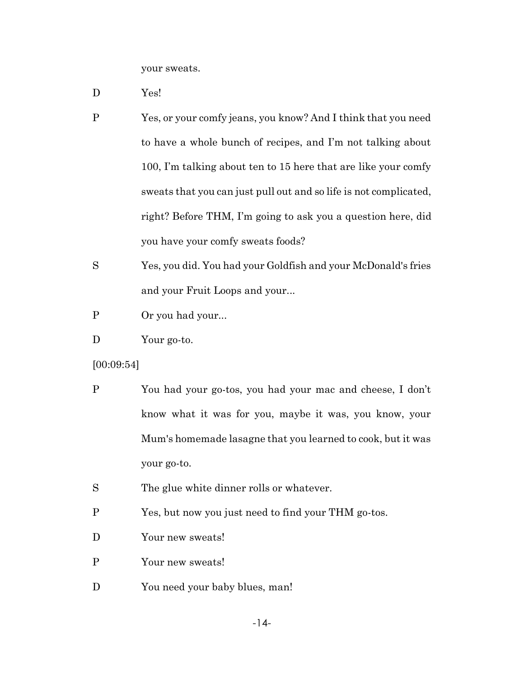your sweats.

- D Yes!
- P Yes, or your comfy jeans, you know? And I think that you need to have a whole bunch of recipes, and I'm not talking about 100, I'm talking about ten to 15 here that are like your comfy sweats that you can just pull out and so life is not complicated, right? Before THM, I'm going to ask you a question here, did you have your comfy sweats foods?
- S Yes, you did. You had your Goldfish and your McDonald's fries and your Fruit Loops and your...
- P Or you had your...
- D Your go-to.
- [00:09:54]
- P You had your go-tos, you had your mac and cheese, I don't know what it was for you, maybe it was, you know, your Mum's homemade lasagne that you learned to cook, but it was your go-to.
- S The glue white dinner rolls or whatever.
- P Yes, but now you just need to find your THM go-tos.
- D Your new sweats!
- P Your new sweats!
- D You need your baby blues, man!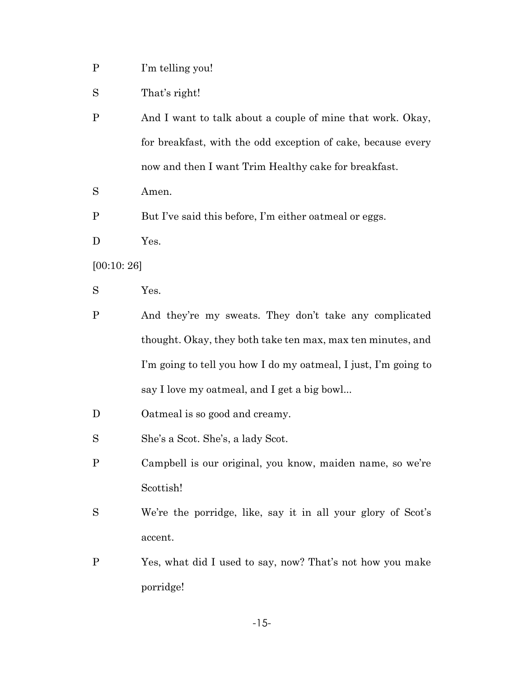- P I'm telling you!
- S That's right!
- P And I want to talk about a couple of mine that work. Okay, for breakfast, with the odd exception of cake, because every now and then I want Trim Healthy cake for breakfast.
- S Amen.
- P But I've said this before, I'm either oatmeal or eggs.
- D Yes.

[00:10: 26]

- S Yes.
- P And they're my sweats. They don't take any complicated thought. Okay, they both take ten max, max ten minutes, and I'm going to tell you how I do my oatmeal, I just, I'm going to say I love my oatmeal, and I get a big bowl...
- D Oatmeal is so good and creamy.
- S She's a Scot. She's, a lady Scot.
- P Campbell is our original, you know, maiden name, so we're Scottish!
- S We're the porridge, like, say it in all your glory of Scot's accent.
- P Yes, what did I used to say, now? That's not how you make porridge!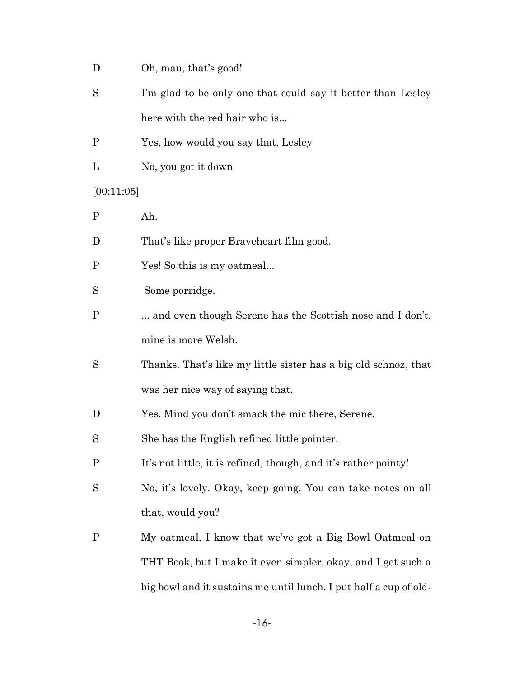- D Oh, man, that's good!
- S I'm glad to be only one that could say it better than Lesley here with the red hair who is...
- P Yes, how would you say that, Lesley
- L No, you got it down

[00:11:05]

- P Ah.
- D That's like proper Braveheart film good.
- P Yes! So this is my oatmeal...
- Some porridge.
- P ... and even though Serene has the Scottish nose and I don't, mine is more Welsh.
- S Thanks. That's like my little sister has a big old schnoz, that was her nice way of saying that.
- D Yes. Mind you don't smack the mic there, Serene.
- S She has the English refined little pointer.
- P It's not little, it is refined, though, and it's rather pointy!
- S No, it's lovely. Okay, keep going. You can take notes on all that, would you?
- P My oatmeal, I know that we've got a Big Bowl Oatmeal on THT Book, but I make it even simpler, okay, and I get such a big bowl and it sustains me until lunch. I put half a cup of old-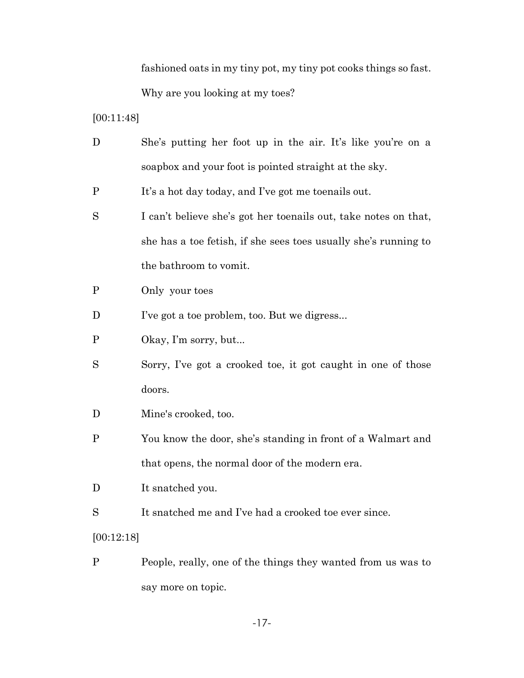fashioned oats in my tiny pot, my tiny pot cooks things so fast. Why are you looking at my toes?

[00:11:48]

- D She's putting her foot up in the air. It's like you're on a soapbox and your foot is pointed straight at the sky.
- P It's a hot day today, and I've got me toenails out.
- S I can't believe she's got her toenails out, take notes on that, she has a toe fetish, if she sees toes usually she's running to the bathroom to vomit.
- P Only your toes
- D I've got a toe problem, too. But we digress...
- P Okay, I'm sorry, but...
- S Sorry, I've got a crooked toe, it got caught in one of those doors.
- D Mine's crooked, too.
- P You know the door, she's standing in front of a Walmart and that opens, the normal door of the modern era.

D It snatched you.

S It snatched me and I've had a crooked toe ever since.

[00:12:18]

P People, really, one of the things they wanted from us was to say more on topic.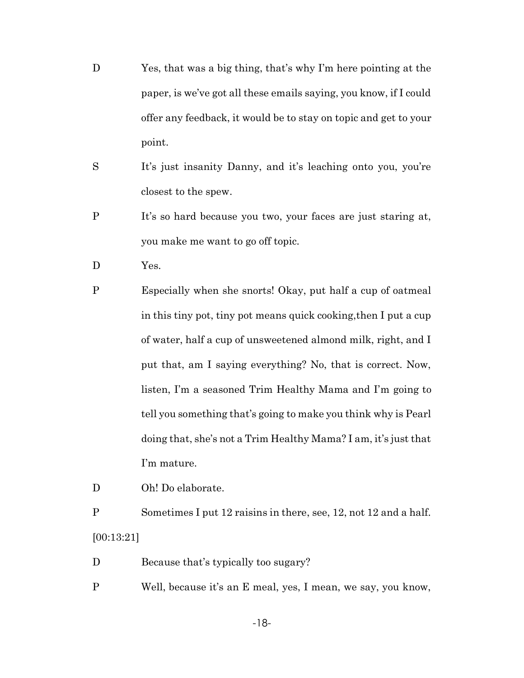- D Yes, that was a big thing, that's why I'm here pointing at the paper, is we've got all these emails saying, you know, if I could offer any feedback, it would be to stay on topic and get to your point.
- S It's just insanity Danny, and it's leaching onto you, you're closest to the spew.
- P It's so hard because you two, your faces are just staring at, you make me want to go off topic.
- D Yes.
- P Especially when she snorts! Okay, put half a cup of oatmeal in this tiny pot, tiny pot means quick cooking,then I put a cup of water, half a cup of unsweetened almond milk, right, and I put that, am I saying everything? No, that is correct. Now, listen, I'm a seasoned Trim Healthy Mama and I'm going to tell you something that's going to make you think why is Pearl doing that, she's not a Trim Healthy Mama? I am, it's just that I'm mature.

D Oh! Do elaborate.

P Sometimes I put 12 raisins in there, see, 12, not 12 and a half. [00:13:21]

- D Because that's typically too sugary?
- P Well, because it's an E meal, yes, I mean, we say, you know,

-18-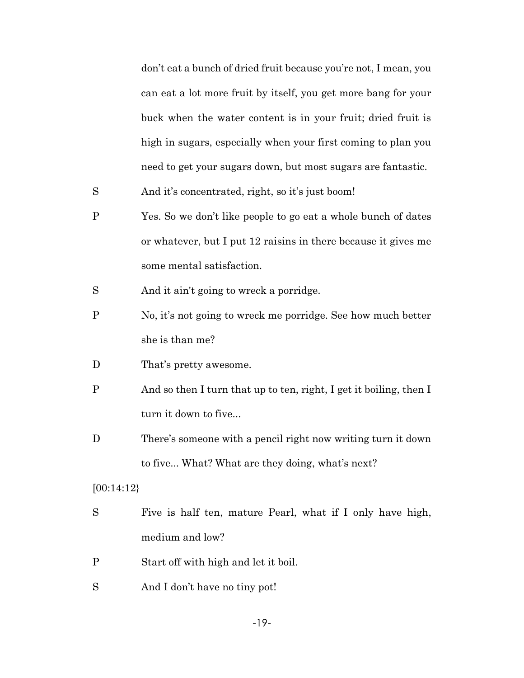don't eat a bunch of dried fruit because you're not, I mean, you can eat a lot more fruit by itself, you get more bang for your buck when the water content is in your fruit; dried fruit is high in sugars, especially when your first coming to plan you need to get your sugars down, but most sugars are fantastic.

S And it's concentrated, right, so it's just boom!

- P Yes. So we don't like people to go eat a whole bunch of dates or whatever, but I put 12 raisins in there because it gives me some mental satisfaction.
- S And it ain't going to wreck a porridge.
- P No, it's not going to wreck me porridge. See how much better she is than me?
- D That's pretty awesome.
- P And so then I turn that up to ten, right, I get it boiling, then I turn it down to five...
- D There's someone with a pencil right now writing turn it down to five... What? What are they doing, what's next?

### [00:14:12}

- S Five is half ten, mature Pearl, what if I only have high, medium and low?
- P Start off with high and let it boil.
- S And I don't have no tiny pot!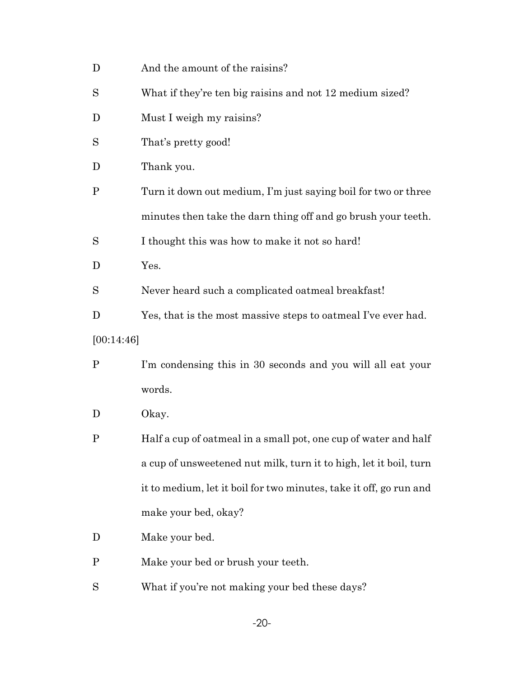| D            | And the amount of the raisins?                                     |
|--------------|--------------------------------------------------------------------|
| S            | What if they're ten big raisins and not 12 medium sized?           |
| D            | Must I weigh my raisins?                                           |
| S            | That's pretty good!                                                |
| D            | Thank you.                                                         |
| P            | Turn it down out medium, I'm just saying boil for two or three     |
|              | minutes then take the darn thing off and go brush your teeth.      |
| S            | I thought this was how to make it not so hard!                     |
| D            | Yes.                                                               |
| S            | Never heard such a complicated oatmeal breakfast!                  |
| D            | Yes, that is the most massive steps to oatmeal I've ever had.      |
| [00:14:46]   |                                                                    |
| $\mathbf{P}$ | I'm condensing this in 30 seconds and you will all eat your        |
|              | words.                                                             |
| D            |                                                                    |
|              | Okay.                                                              |
| P            | Half a cup of oatmeal in a small pot, one cup of water and half    |
|              | a cup of unsweetened nut milk, turn it to high, let it boil, turn  |
|              | it to medium, let it boil for two minutes, take it off, go run and |
|              | make your bed, okay?                                               |
| D            | Make your bed.                                                     |
| P            | Make your bed or brush your teeth.                                 |
| S            | What if you're not making your bed these days?                     |

-20-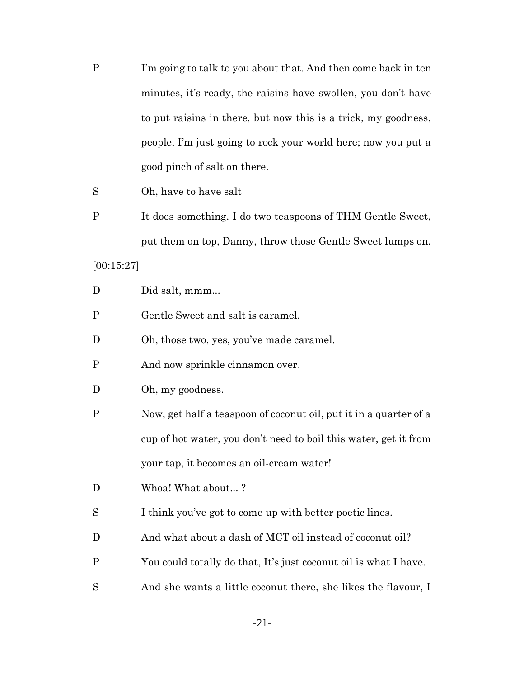P I'm going to talk to you about that. And then come back in ten minutes, it's ready, the raisins have swollen, you don't have to put raisins in there, but now this is a trick, my goodness, people, I'm just going to rock your world here; now you put a good pinch of salt on there.

## S Oh, have to have salt

P It does something. I do two teaspoons of THM Gentle Sweet, put them on top, Danny, throw those Gentle Sweet lumps on.

[00:15:27]

- D Did salt, mmm...
- P Gentle Sweet and salt is caramel.
- D Oh, those two, yes, you've made caramel.
- P And now sprinkle cinnamon over.
- D Oh, my goodness.
- P Now, get half a teaspoon of coconut oil, put it in a quarter of a cup of hot water, you don't need to boil this water, get it from your tap, it becomes an oil-cream water!
- D Whoa! What about...?
- S I think you've got to come up with better poetic lines.
- D And what about a dash of MCT oil instead of coconut oil?
- P You could totally do that, It's just coconut oil is what I have.
- S And she wants a little coconut there, she likes the flavour, I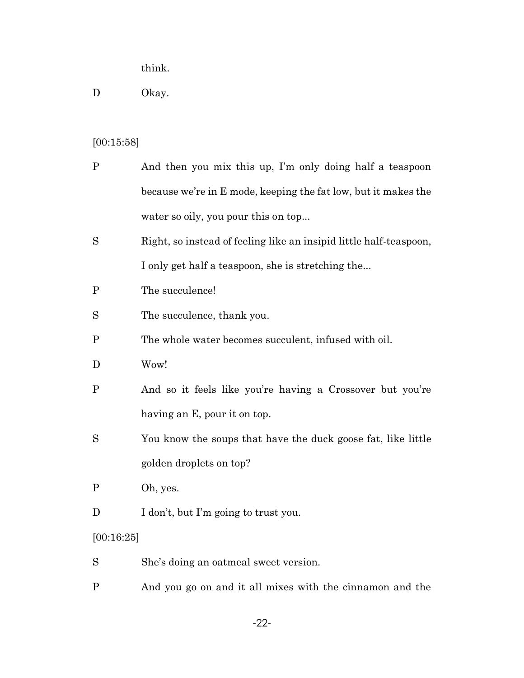think.

## D Okay.

#### [00:15:58]

- P And then you mix this up, I'm only doing half a teaspoon because we're in E mode, keeping the fat low, but it makes the water so oily, you pour this on top...
- S Right, so instead of feeling like an insipid little half-teaspoon, I only get half a teaspoon, she is stretching the...
- P The succulence!
- S The succulence, thank you.
- P The whole water becomes succulent, infused with oil.
- D Wow!
- P And so it feels like you're having a Crossover but you're having an E, pour it on top.
- S You know the soups that have the duck goose fat, like little golden droplets on top?
- P Oh, yes.
- D I don't, but I'm going to trust you.

#### [00:16:25]

- S She's doing an oatmeal sweet version.
- P And you go on and it all mixes with the cinnamon and the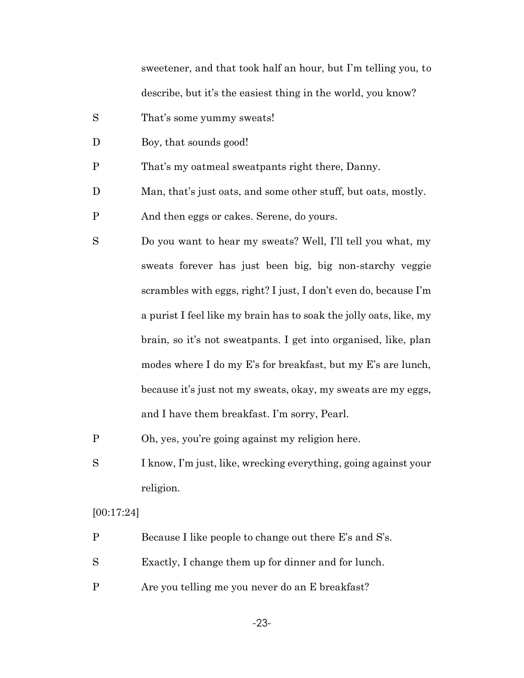sweetener, and that took half an hour, but I'm telling you, to describe, but it's the easiest thing in the world, you know?

- S That's some yummy sweats!
- D Boy, that sounds good!
- P That's my oatmeal sweatpants right there, Danny.
- D Man, that's just oats, and some other stuff, but oats, mostly.
- P And then eggs or cakes. Serene, do yours.
- S Do you want to hear my sweats? Well, I'll tell you what, my sweats forever has just been big, big non-starchy veggie scrambles with eggs, right? I just, I don't even do, because I'm a purist I feel like my brain has to soak the jolly oats, like, my brain, so it's not sweatpants. I get into organised, like, plan modes where I do my E's for breakfast, but my E's are lunch, because it's just not my sweats, okay, my sweats are my eggs, and I have them breakfast. I'm sorry, Pearl.
- P Oh, yes, you're going against my religion here.
- S I know, I'm just, like, wrecking everything, going against your religion.

[00:17:24]

- P Because I like people to change out there E's and S's.
- S Exactly, I change them up for dinner and for lunch.
- P Are you telling me you never do an E breakfast?

-23-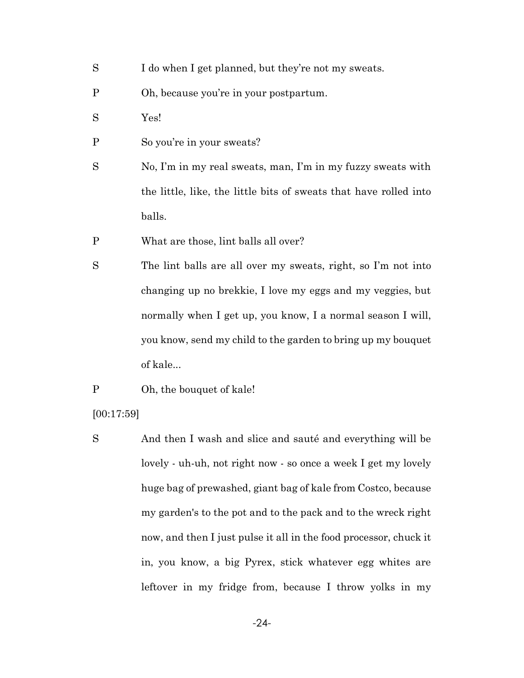- S I do when I get planned, but they're not my sweats.
- P Oh, because you're in your postpartum.
- S Yes!
- P So you're in your sweats?
- S No, I'm in my real sweats, man, I'm in my fuzzy sweats with the little, like, the little bits of sweats that have rolled into balls.
- P What are those, lint balls all over?
- S The lint balls are all over my sweats, right, so I'm not into changing up no brekkie, I love my eggs and my veggies, but normally when I get up, you know, I a normal season I will, you know, send my child to the garden to bring up my bouquet of kale...
- P Oh, the bouquet of kale!
- [00:17:59]
- S And then I wash and slice and sauté and everything will be lovely - uh-uh, not right now - so once a week I get my lovely huge bag of prewashed, giant bag of kale from Costco, because my garden's to the pot and to the pack and to the wreck right now, and then I just pulse it all in the food processor, chuck it in, you know, a big Pyrex, stick whatever egg whites are leftover in my fridge from, because I throw yolks in my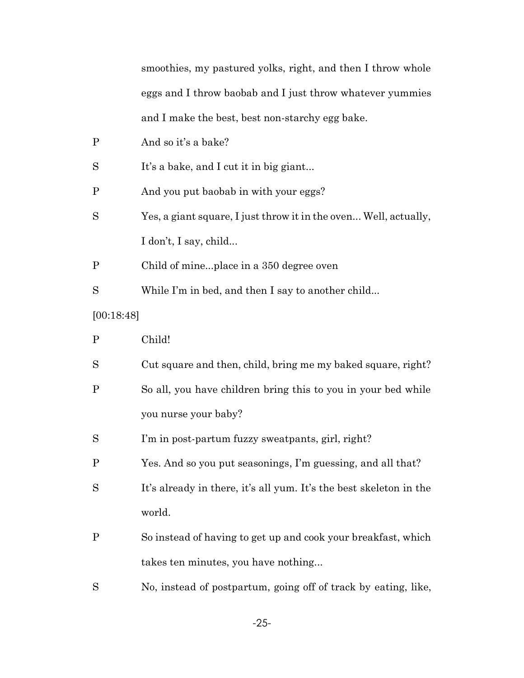smoothies, my pastured yolks, right, and then I throw whole eggs and I throw baobab and I just throw whatever yummies and I make the best, best non-starchy egg bake.

| $\mathbf P$ | And so it's a bake?                                                |
|-------------|--------------------------------------------------------------------|
| S           | It's a bake, and I cut it in big giant                             |
| $\mathbf P$ | And you put baobab in with your eggs?                              |
| S           | Yes, a giant square, I just throw it in the oven Well, actually,   |
|             | I don't, I say, child                                              |
| $\mathbf P$ | Child of mineplace in a 350 degree oven                            |
| S           | While I'm in bed, and then I say to another child                  |
| [00:18:48]  |                                                                    |
| $\mathbf P$ | Child!                                                             |
| S           | Cut square and then, child, bring me my baked square, right?       |
| $\mathbf P$ | So all, you have children bring this to you in your bed while      |
|             | you nurse your baby?                                               |
| S           | I'm in post-partum fuzzy sweatpants, girl, right?                  |
| $\mathbf P$ | Yes. And so you put seasonings, I'm guessing, and all that?        |
| S           | It's already in there, it's all yum. It's the best skeleton in the |
|             | world.                                                             |
| P           | So instead of having to get up and cook your breakfast, which      |
|             | takes ten minutes, you have nothing                                |
| S           | No, instead of postpartum, going off of track by eating, like,     |

-25-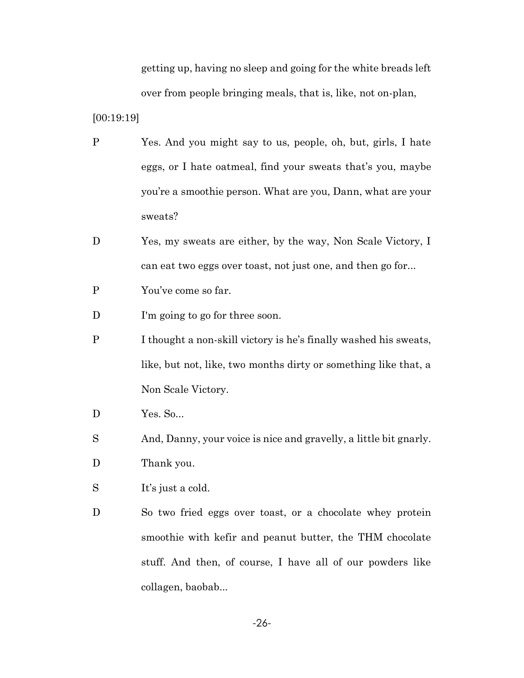getting up, having no sleep and going for the white breads left over from people bringing meals, that is, like, not on-plan,

[00:19:19]

- P Yes. And you might say to us, people, oh, but, girls, I hate eggs, or I hate oatmeal, find your sweats that's you, maybe you're a smoothie person. What are you, Dann, what are your sweats?
- D Yes, my sweats are either, by the way, Non Scale Victory, I can eat two eggs over toast, not just one, and then go for...
- P You've come so far.
- D I'm going to go for three soon.
- P I thought a non-skill victory is he's finally washed his sweats, like, but not, like, two months dirty or something like that, a Non Scale Victory.
- D Yes. So...
- S And, Danny, your voice is nice and gravelly, a little bit gnarly.

D Thank you.

- S It's just a cold.
- D So two fried eggs over toast, or a chocolate whey protein smoothie with kefir and peanut butter, the THM chocolate stuff. And then, of course, I have all of our powders like collagen, baobab...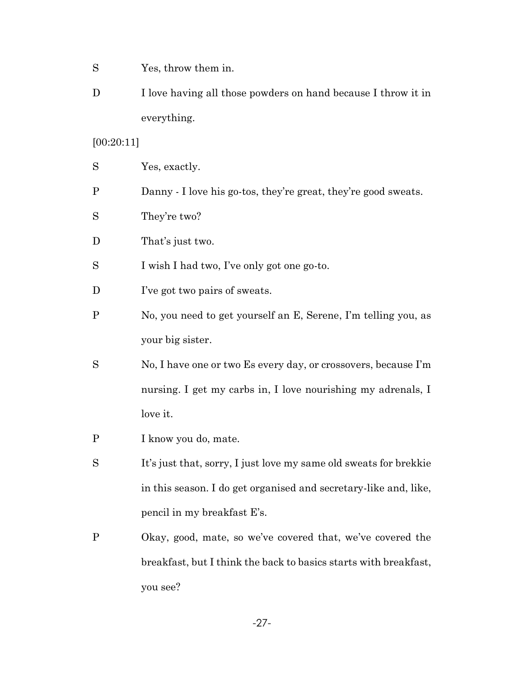- S Yes, throw them in.
- D I love having all those powders on hand because I throw it in everything.

## [00:20:11]

| S                         | Yes, exactly.                                                     |
|---------------------------|-------------------------------------------------------------------|
| Ρ                         | Danny - I love his go-tos, they're great, they're good sweats.    |
| S                         | They're two?                                                      |
| $\boldsymbol{\mathrm{D}}$ | That's just two.                                                  |
| S                         | I wish I had two, I've only got one go-to.                        |
| D                         | I've got two pairs of sweats.                                     |
| Ρ                         | No, you need to get yourself an E, Serene, I'm telling you, as    |
|                           | your big sister.                                                  |
| S                         | No, I have one or two Es every day, or crossovers, because I'm    |
|                           | nursing. I get my carbs in, I love nourishing my adrenals, I      |
|                           | love it.                                                          |
| Ρ                         | I know you do, mate.                                              |
| S                         | It's just that, sorry, I just love my same old sweats for brekkie |
|                           | in this season. I do get organised and secretary-like and, like,  |
|                           | pencil in my breakfast E's.                                       |

P Okay, good, mate, so we've covered that, we've covered the breakfast, but I think the back to basics starts with breakfast, you see?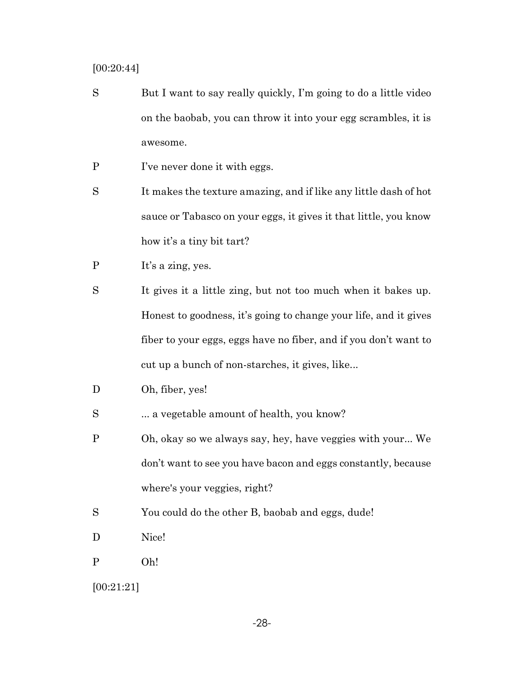[00:20:44]

- S But I want to say really quickly, I'm going to do a little video on the baobab, you can throw it into your egg scrambles, it is awesome.
- P I've never done it with eggs.
- S It makes the texture amazing, and if like any little dash of hot sauce or Tabasco on your eggs, it gives it that little, you know how it's a tiny bit tart?
- P It's a zing, yes.
- S It gives it a little zing, but not too much when it bakes up. Honest to goodness, it's going to change your life, and it gives fiber to your eggs, eggs have no fiber, and if you don't want to cut up a bunch of non-starches, it gives, like...
- D Oh, fiber, yes!
- S ... a vegetable amount of health, you know?
- P Oh, okay so we always say, hey, have veggies with your... We don't want to see you have bacon and eggs constantly, because where's your veggies, right?
- S You could do the other B, baobab and eggs, dude!
- D Nice!
- P Oh!

[00:21:21]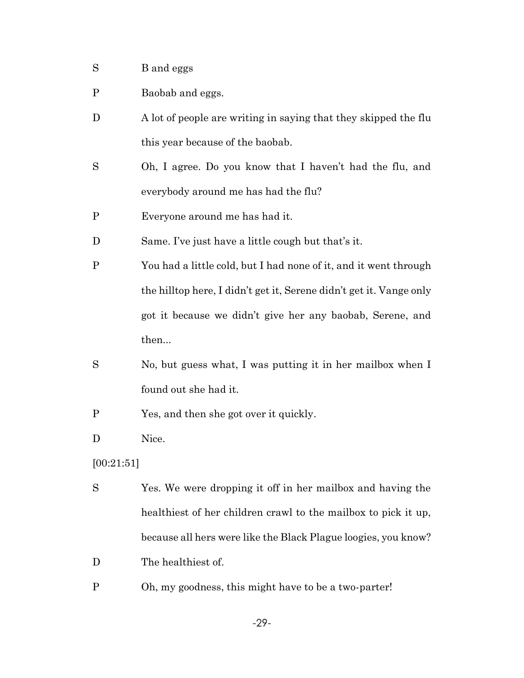- S B and eggs
- P Baobab and eggs.
- D A lot of people are writing in saying that they skipped the flu this year because of the baobab.
- S Oh, I agree. Do you know that I haven't had the flu, and everybody around me has had the flu?
- P Everyone around me has had it.
- D Same. I've just have a little cough but that's it.
- P You had a little cold, but I had none of it, and it went through the hilltop here, I didn't get it, Serene didn't get it. Vange only got it because we didn't give her any baobab, Serene, and then...
- S No, but guess what, I was putting it in her mailbox when I found out she had it.
- P Yes, and then she got over it quickly.
- D Nice.

[00:21:51]

- S Yes. We were dropping it off in her mailbox and having the healthiest of her children crawl to the mailbox to pick it up, because all hers were like the Black Plague loogies, you know?
- D The healthiest of.
- P Oh, my goodness, this might have to be a two-parter!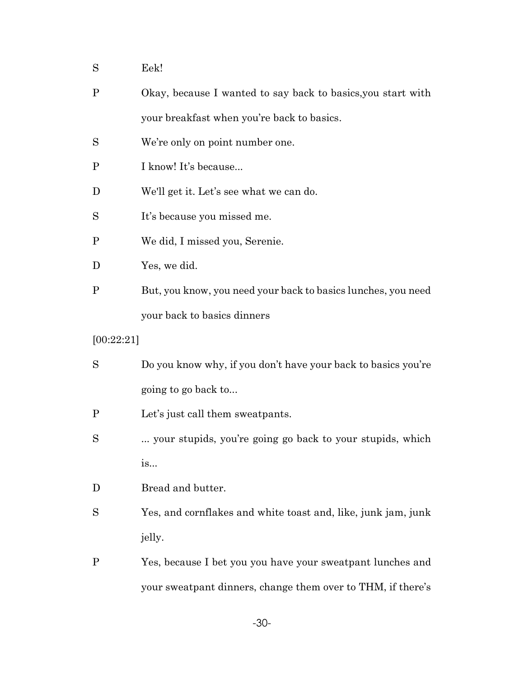- S Eek!
- P Okay, because I wanted to say back to basics,you start with your breakfast when you're back to basics.
- S We're only on point number one.
- P I know! It's because...
- D We'll get it. Let's see what we can do.
- S It's because you missed me.
- P We did, I missed you, Serenie.
- D Yes, we did.
- P But, you know, you need your back to basics lunches, you need your back to basics dinners
- [00:22:21]
- S Do you know why, if you don't have your back to basics you're going to go back to...
- P Let's just call them sweatpants.
- S ... your stupids, you're going go back to your stupids, which is...
- D Bread and butter.
- S Yes, and cornflakes and white toast and, like, junk jam, junk jelly.
- P Yes, because I bet you you have your sweatpant lunches and your sweatpant dinners, change them over to THM, if there's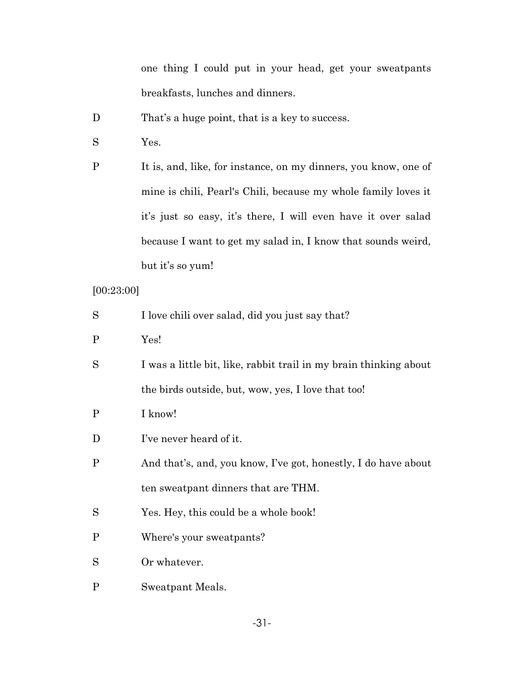one thing I could put in your head, get your sweatpants breakfasts, lunches and dinners.

- D That's a huge point, that is a key to success.
- S Yes.

P It is, and, like, for instance, on my dinners, you know, one of mine is chili, Pearl's Chili, because my whole family loves it it's just so easy, it's there, I will even have it over salad because I want to get my salad in, I know that sounds weird, but it's so yum!

[00:23:00]

| S            | I love chili over salad, did you just say that?                   |
|--------------|-------------------------------------------------------------------|
| $\mathbf{P}$ | Yes!                                                              |
| S            | I was a little bit, like, rabbit trail in my brain thinking about |
|              | the birds outside, but, wow, yes, I love that too!                |
| P            | I know!                                                           |
| D            | I've never heard of it.                                           |
| $\mathbf{P}$ | And that's, and, you know, I've got, honestly, I do have about    |
|              | ten sweatpant dinners that are THM.                               |
| S            | Yes. Hey, this could be a whole book!                             |
| $\mathbf{P}$ | Where's your sweatpants?                                          |
| S            | Or whatever.                                                      |
| P            | Sweatpant Meals.                                                  |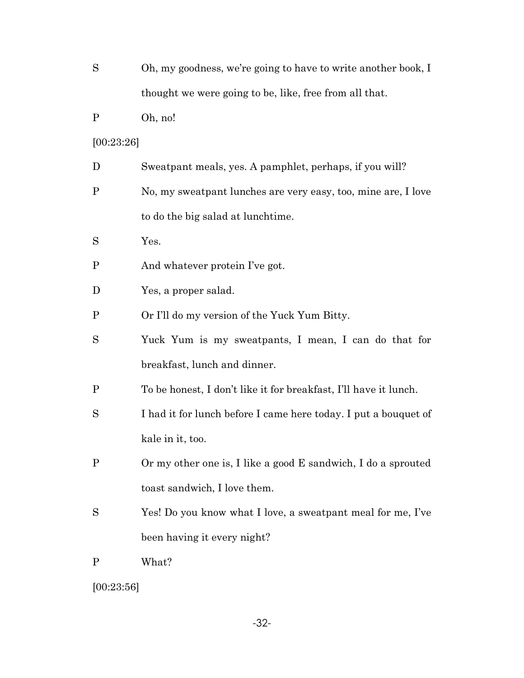| S           | Oh, my goodness, we're going to have to write another book, I    |
|-------------|------------------------------------------------------------------|
|             | thought we were going to be, like, free from all that.           |
| P           | Oh, no!                                                          |
| [00:23:26]  |                                                                  |
| D           | Sweatpant meals, yes. A pamphlet, perhaps, if you will?          |
| $\mathbf P$ | No, my sweatpant lunches are very easy, too, mine are, I love    |
|             | to do the big salad at lunchtime.                                |
| S           | Yes.                                                             |
| $\mathbf P$ | And whatever protein I've got.                                   |
| D           | Yes, a proper salad.                                             |
| P           | Or I'll do my version of the Yuck Yum Bitty.                     |
| S           | Yuck Yum is my sweatpants, I mean, I can do that for             |
|             | breakfast, lunch and dinner.                                     |
| P           | To be honest, I don't like it for breakfast, I'll have it lunch. |
| S           | I had it for lunch before I came here today. I put a bouquet of  |
|             | kale in it, too.                                                 |
| $\mathbf P$ | Or my other one is, I like a good E sandwich, I do a sprouted    |
|             | toast sandwich, I love them.                                     |
| S           | Yes! Do you know what I love, a sweatpant meal for me, I've      |
|             | been having it every night?                                      |
| P           | What?                                                            |
|             |                                                                  |

 $[00:23:56]$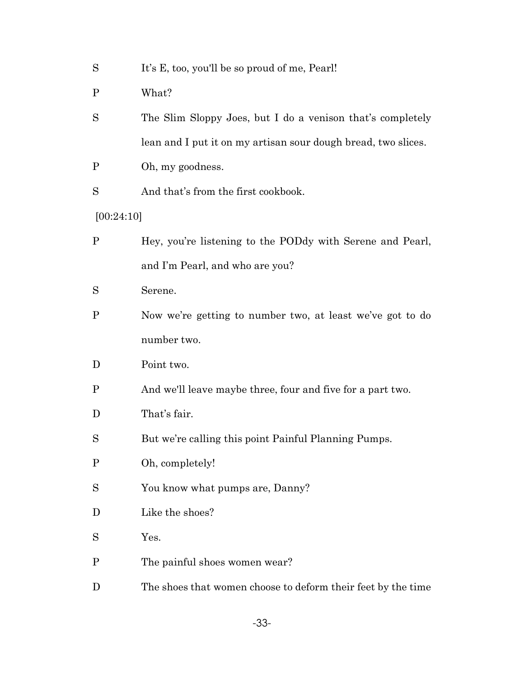| S |  |  |  | It's E, too, you'll be so proud of me, Pearl! |
|---|--|--|--|-----------------------------------------------|
|---|--|--|--|-----------------------------------------------|

- P What?
- S The Slim Sloppy Joes, but I do a venison that's completely lean and I put it on my artisan sour dough bread, two slices.
- P Oh, my goodness.
- S And that's from the first cookbook.
- [00:24:10]
- P Hey, you're listening to the PODdy with Serene and Pearl, and I'm Pearl, and who are you?
- S Serene.
- P Now we're getting to number two, at least we've got to do number two.
- D Point two.
- P And we'll leave maybe three, four and five for a part two.
- D That's fair.
- S But we're calling this point Painful Planning Pumps.
- P Oh, completely!
- S You know what pumps are, Danny?
- D Like the shoes?
- S Yes.
- P The painful shoes women wear?
- D The shoes that women choose to deform their feet by the time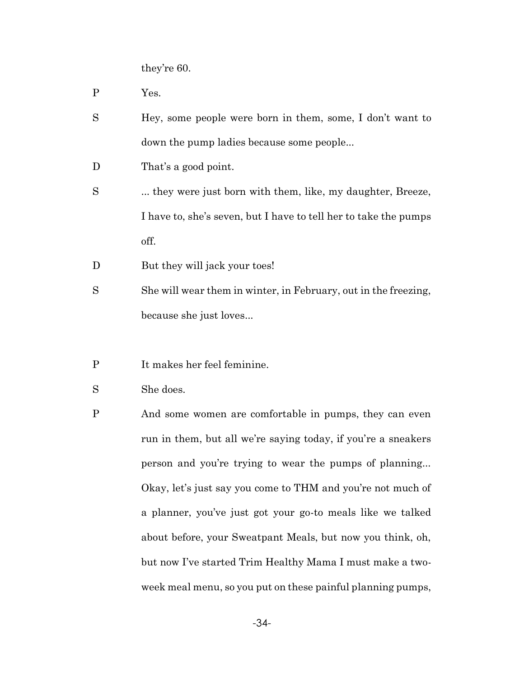they're 60.

- P Yes.
- S Hey, some people were born in them, some, I don't want to down the pump ladies because some people...
- D That's a good point.
- S ... they were just born with them, like, my daughter, Breeze, I have to, she's seven, but I have to tell her to take the pumps off.
- D But they will jack your toes!
- S She will wear them in winter, in February, out in the freezing, because she just loves...
- P It makes her feel feminine.
- S She does.
- P And some women are comfortable in pumps, they can even run in them, but all we're saying today, if you're a sneakers person and you're trying to wear the pumps of planning... Okay, let's just say you come to THM and you're not much of a planner, you've just got your go-to meals like we talked about before, your Sweatpant Meals, but now you think, oh, but now I've started Trim Healthy Mama I must make a twoweek meal menu, so you put on these painful planning pumps,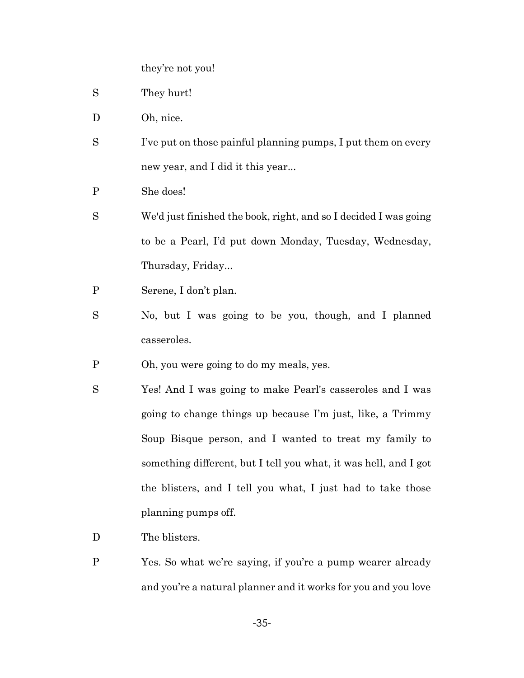they're not you!

- S They hurt!
- D Oh, nice.
- S I've put on those painful planning pumps, I put them on every new year, and I did it this year...
- P She does!
- S We'd just finished the book, right, and so I decided I was going to be a Pearl, I'd put down Monday, Tuesday, Wednesday, Thursday, Friday...
- P Serene, I don't plan.
- S No, but I was going to be you, though, and I planned casseroles.
- P Oh, you were going to do my meals, yes.
- S Yes! And I was going to make Pearl's casseroles and I was going to change things up because I'm just, like, a Trimmy Soup Bisque person, and I wanted to treat my family to something different, but I tell you what, it was hell, and I got the blisters, and I tell you what, I just had to take those planning pumps off.
- D The blisters.
- P Yes. So what we're saying, if you're a pump wearer already and you're a natural planner and it works for you and you love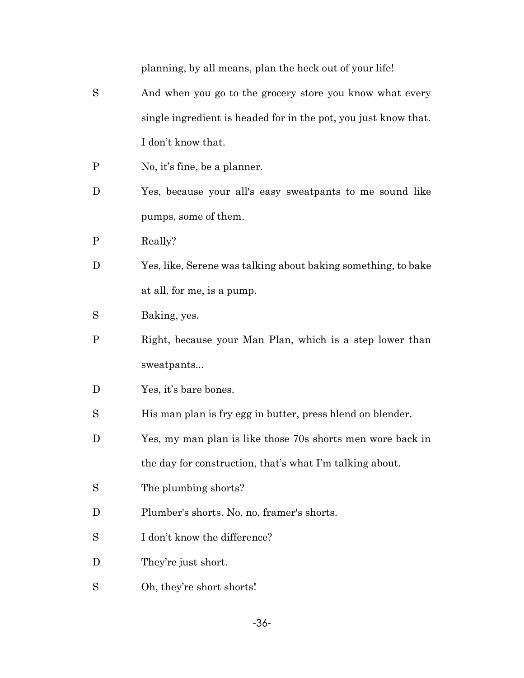planning, by all means, plan the heck out of your life!

- S And when you go to the grocery store you know what every single ingredient is headed for in the pot, you just know that. I don't know that.
- P No, it's fine, be a planner.
- D Yes, because your all's easy sweatpants to me sound like pumps, some of them.
- P Really?
- D Yes, like, Serene was talking about baking something, to bake at all, for me, is a pump.
- S Baking, yes.
- P Right, because your Man Plan, which is a step lower than sweatpants...
- D Yes, it's bare bones.
- S His man plan is fry egg in butter, press blend on blender.
- D Yes, my man plan is like those 70s shorts men wore back in the day for construction, that's what I'm talking about.
- S The plumbing shorts?
- D Plumber's shorts. No, no, framer's shorts.
- S I don't know the difference?
- D They're just short.
- S Oh, they're short shorts!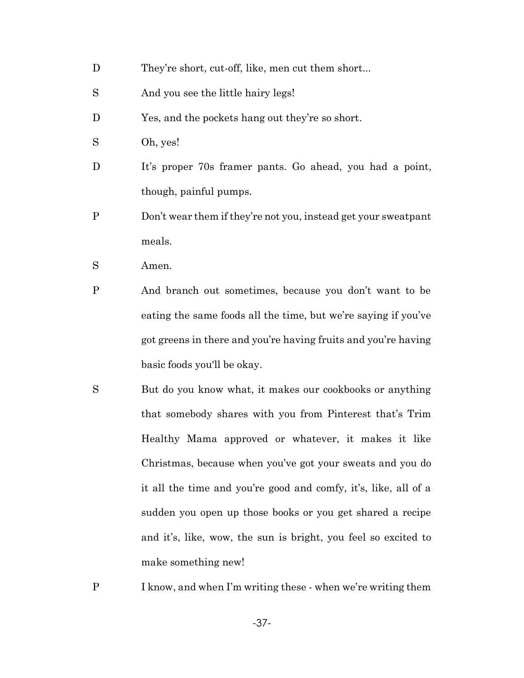- D They're short, cut-off, like, men cut them short...
- S And you see the little hairy legs!
- D Yes, and the pockets hang out they're so short.
- S Oh, yes!
- D It's proper 70s framer pants. Go ahead, you had a point, though, painful pumps.
- P Don't wear them if they're not you, instead get your sweatpant meals.
- S Amen.
- P And branch out sometimes, because you don't want to be eating the same foods all the time, but we're saying if you've got greens in there and you're having fruits and you're having basic foods you'll be okay.
- S But do you know what, it makes our cookbooks or anything that somebody shares with you from Pinterest that's Trim Healthy Mama approved or whatever, it makes it like Christmas, because when you've got your sweats and you do it all the time and you're good and comfy, it's, like, all of a sudden you open up those books or you get shared a recipe and it's, like, wow, the sun is bright, you feel so excited to make something new!
- P I know, and when I'm writing these when we're writing them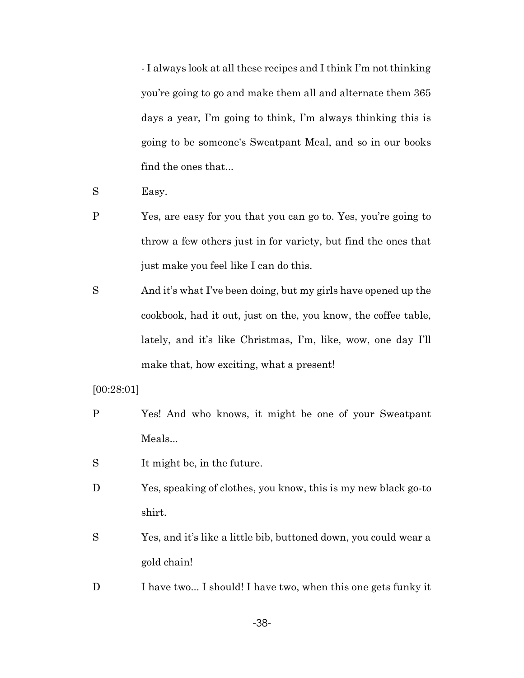- I always look at all these recipes and I think I'm not thinking you're going to go and make them all and alternate them 365 days a year, I'm going to think, I'm always thinking this is going to be someone's Sweatpant Meal, and so in our books find the ones that...

S Easy.

- P Yes, are easy for you that you can go to. Yes, you're going to throw a few others just in for variety, but find the ones that just make you feel like I can do this.
- S And it's what I've been doing, but my girls have opened up the cookbook, had it out, just on the, you know, the coffee table, lately, and it's like Christmas, I'm, like, wow, one day I'll make that, how exciting, what a present!

[00:28:01]

- P Yes! And who knows, it might be one of your Sweatpant Meals...
- S It might be, in the future.
- D Yes, speaking of clothes, you know, this is my new black go-to shirt.
- S Yes, and it's like a little bib, buttoned down, you could wear a gold chain!
- D I have two... I should! I have two, when this one gets funky it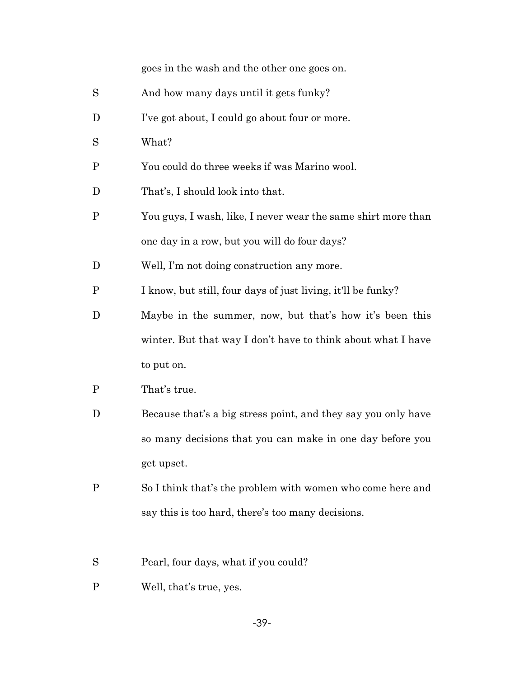|              | goes in the wash and the other one goes on.                   |
|--------------|---------------------------------------------------------------|
| S            | And how many days until it gets funky?                        |
| D            | I've got about, I could go about four or more.                |
| S            | What?                                                         |
| $\mathbf P$  | You could do three weeks if was Marino wool.                  |
| D            | That's, I should look into that.                              |
| $\mathbf{P}$ | You guys, I wash, like, I never wear the same shirt more than |
|              | one day in a row, but you will do four days?                  |
| D            | Well, I'm not doing construction any more.                    |
| $\mathbf P$  | I know, but still, four days of just living, it'll be funky?  |
| D            | Maybe in the summer, now, but that's how it's been this       |
|              | winter. But that way I don't have to think about what I have  |
|              | to put on.                                                    |
| $\mathbf P$  | That's true.                                                  |
| D            | Because that's a big stress point, and they say you only have |
|              | so many decisions that you can make in one day before you     |
|              | get upset.                                                    |
| $\mathbf{P}$ | So I think that's the problem with women who come here and    |
|              | say this is too hard, there's too many decisions.             |

- S Pearl, four days, what if you could?
- P Well, that's true, yes.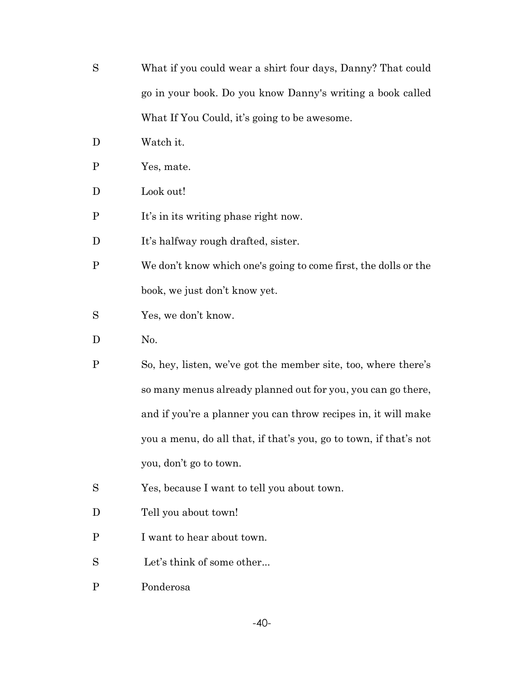- S What if you could wear a shirt four days, Danny? That could go in your book. Do you know Danny's writing a book called What If You Could, it's going to be awesome.
- D Watch it.
- P Yes, mate.
- D Look out!
- P It's in its writing phase right now.
- D It's halfway rough drafted, sister.
- P We don't know which one's going to come first, the dolls or the book, we just don't know yet.
- S Yes, we don't know.
- D No.
- P So, hey, listen, we've got the member site, too, where there's so many menus already planned out for you, you can go there, and if you're a planner you can throw recipes in, it will make you a menu, do all that, if that's you, go to town, if that's not you, don't go to town.
- S Yes, because I want to tell you about town.
- D Tell you about town!
- P I want to hear about town.
- S Let's think of some other...
- P Ponderosa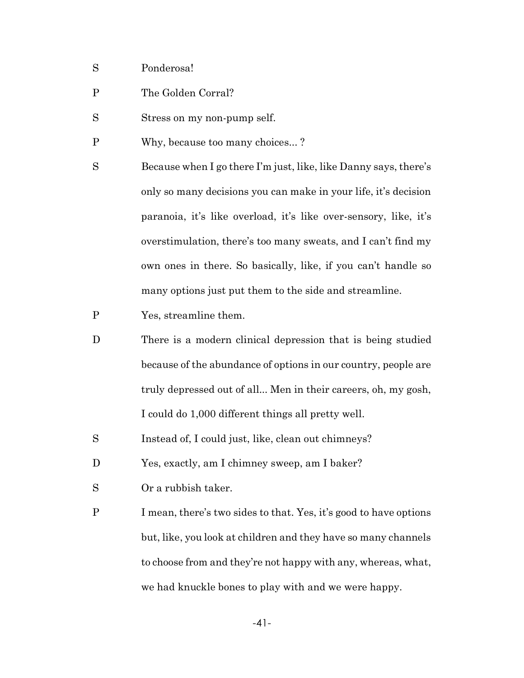- S Ponderosa!
- P The Golden Corral?
- S Stress on my non-pump self.
- P Why, because too many choices... ?
- S Because when I go there I'm just, like, like Danny says, there's only so many decisions you can make in your life, it's decision paranoia, it's like overload, it's like over-sensory, like, it's overstimulation, there's too many sweats, and I can't find my own ones in there. So basically, like, if you can't handle so many options just put them to the side and streamline.
- P Yes, streamline them.
- D There is a modern clinical depression that is being studied because of the abundance of options in our country, people are truly depressed out of all... Men in their careers, oh, my gosh, I could do 1,000 different things all pretty well.
- S Instead of, I could just, like, clean out chimneys?
- D Yes, exactly, am I chimney sweep, am I baker?
- S Or a rubbish taker.
- P I mean, there's two sides to that. Yes, it's good to have options but, like, you look at children and they have so many channels to choose from and they're not happy with any, whereas, what, we had knuckle bones to play with and we were happy.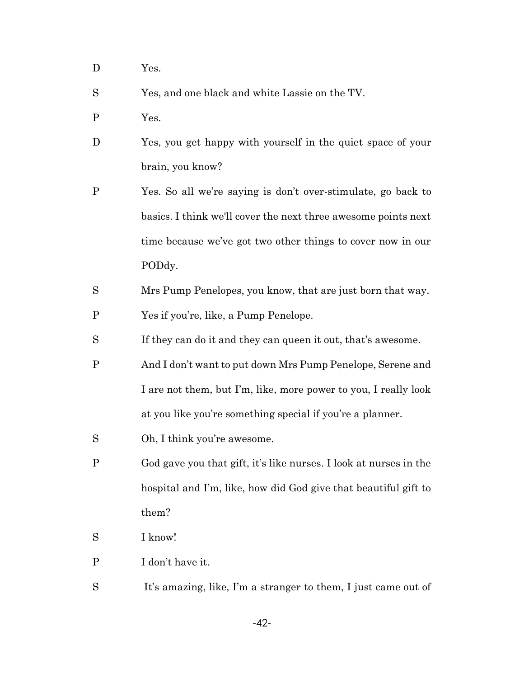D Yes.

S Yes, and one black and white Lassie on the TV.

- P Yes.
- D Yes, you get happy with yourself in the quiet space of your brain, you know?
- P Yes. So all we're saying is don't over-stimulate, go back to basics. I think we'll cover the next three awesome points next time because we've got two other things to cover now in our PODdy.
- S Mrs Pump Penelopes, you know, that are just born that way. P Yes if you're, like, a Pump Penelope.
- S If they can do it and they can queen it out, that's awesome.
- P And I don't want to put down Mrs Pump Penelope, Serene and I are not them, but I'm, like, more power to you, I really look at you like you're something special if you're a planner.
- S Oh, I think you're awesome.
- P God gave you that gift, it's like nurses. I look at nurses in the hospital and I'm, like, how did God give that beautiful gift to them?
- S I know!
- P I don't have it.
- S It's amazing, like, I'm a stranger to them, I just came out of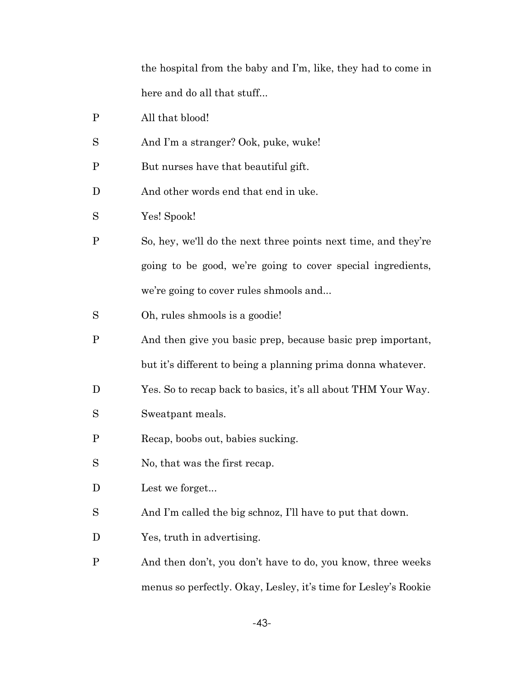the hospital from the baby and I'm, like, they had to come in here and do all that stuff...

- P All that blood!
- S And I'm a stranger? Ook, puke, wuke!
- P But nurses have that beautiful gift.
- D And other words end that end in uke.
- S Yes! Spook!
- P So, hey, we'll do the next three points next time, and they're going to be good, we're going to cover special ingredients, we're going to cover rules shmools and...
- S Oh, rules shmools is a goodie!
- P And then give you basic prep, because basic prep important, but it's different to being a planning prima donna whatever.
- D Yes. So to recap back to basics, it's all about THM Your Way.
- S Sweatpant meals.
- P Recap, boobs out, babies sucking.
- S No, that was the first recap.
- D Lest we forget...
- S And I'm called the big schnoz, I'll have to put that down.
- D Yes, truth in advertising.
- P And then don't, you don't have to do, you know, three weeks menus so perfectly. Okay, Lesley, it's time for Lesley's Rookie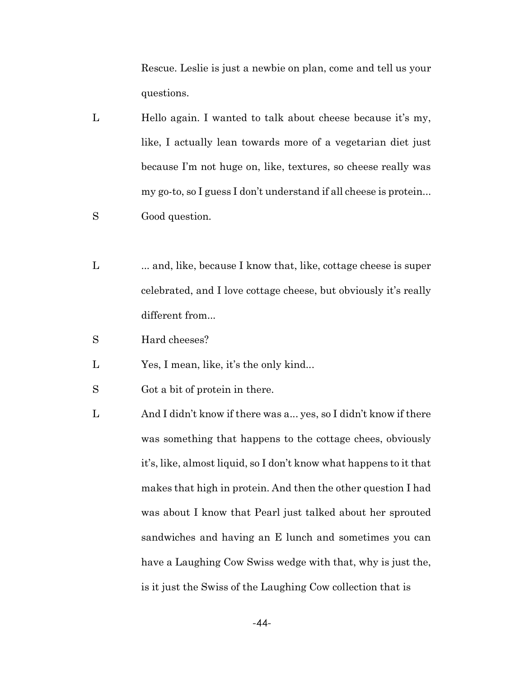Rescue. Leslie is just a newbie on plan, come and tell us your questions.

- L Hello again. I wanted to talk about cheese because it's my, like, I actually lean towards more of a vegetarian diet just because I'm not huge on, like, textures, so cheese really was my go-to, so I guess I don't understand if all cheese is protein...
- S Good question.
- L ... and, like, because I know that, like, cottage cheese is super celebrated, and I love cottage cheese, but obviously it's really different from...
- S Hard cheeses?
- L Yes, I mean, like, it's the only kind...
- S Got a bit of protein in there.
- L And I didn't know if there was a... yes, so I didn't know if there was something that happens to the cottage chees, obviously it's, like, almost liquid, so I don't know what happens to it that makes that high in protein. And then the other question I had was about I know that Pearl just talked about her sprouted sandwiches and having an E lunch and sometimes you can have a Laughing Cow Swiss wedge with that, why is just the, is it just the Swiss of the Laughing Cow collection that is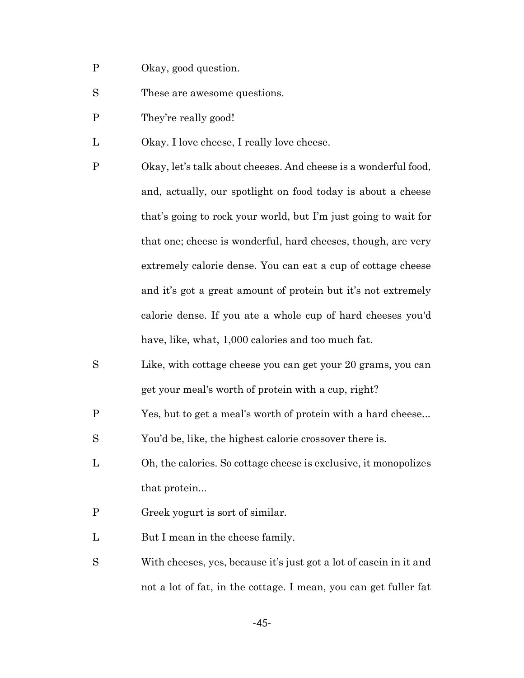- P Okay, good question.
- S These are awesome questions.
- P They're really good!
- L Okay. I love cheese, I really love cheese.
- P Okay, let's talk about cheeses. And cheese is a wonderful food, and, actually, our spotlight on food today is about a cheese that's going to rock your world, but I'm just going to wait for that one; cheese is wonderful, hard cheeses, though, are very extremely calorie dense. You can eat a cup of cottage cheese and it's got a great amount of protein but it's not extremely calorie dense. If you ate a whole cup of hard cheeses you'd have, like, what, 1,000 calories and too much fat.
- S Like, with cottage cheese you can get your 20 grams, you can get your meal's worth of protein with a cup, right?
- P Yes, but to get a meal's worth of protein with a hard cheese...
- S You'd be, like, the highest calorie crossover there is.
- L Oh, the calories. So cottage cheese is exclusive, it monopolizes that protein...
- P Greek yogurt is sort of similar.
- L But I mean in the cheese family.
- S With cheeses, yes, because it's just got a lot of casein in it and not a lot of fat, in the cottage. I mean, you can get fuller fat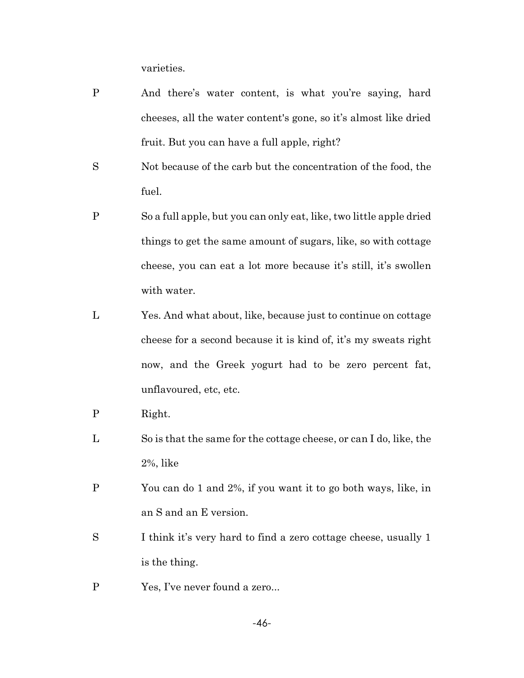varieties.

- P And there's water content, is what you're saying, hard cheeses, all the water content's gone, so it's almost like dried fruit. But you can have a full apple, right?
- S Not because of the carb but the concentration of the food, the fuel.
- P So a full apple, but you can only eat, like, two little apple dried things to get the same amount of sugars, like, so with cottage cheese, you can eat a lot more because it's still, it's swollen with water.
- L Yes. And what about, like, because just to continue on cottage cheese for a second because it is kind of, it's my sweats right now, and the Greek yogurt had to be zero percent fat, unflavoured, etc, etc.
- P Right.
- L So is that the same for the cottage cheese, or can I do, like, the 2%, like
- P You can do 1 and 2%, if you want it to go both ways, like, in an S and an E version.
- S I think it's very hard to find a zero cottage cheese, usually 1 is the thing.
- P Yes, I've never found a zero...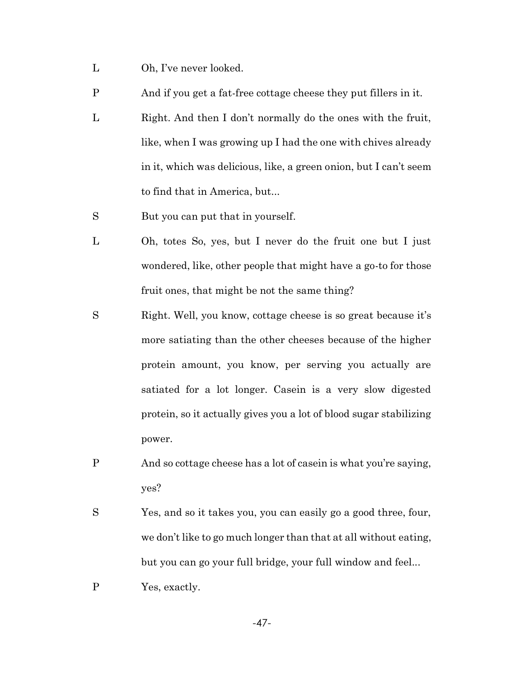- L Oh, I've never looked.
- P And if you get a fat-free cottage cheese they put fillers in it.
- L Right. And then I don't normally do the ones with the fruit, like, when I was growing up I had the one with chives already in it, which was delicious, like, a green onion, but I can't seem to find that in America, but...
- S But you can put that in yourself.
- L Oh, totes So, yes, but I never do the fruit one but I just wondered, like, other people that might have a go-to for those fruit ones, that might be not the same thing?
- S Right. Well, you know, cottage cheese is so great because it's more satiating than the other cheeses because of the higher protein amount, you know, per serving you actually are satiated for a lot longer. Casein is a very slow digested protein, so it actually gives you a lot of blood sugar stabilizing power.
- P And so cottage cheese has a lot of casein is what you're saying, yes?
- S Yes, and so it takes you, you can easily go a good three, four, we don't like to go much longer than that at all without eating, but you can go your full bridge, your full window and feel...
- P Yes, exactly.

-47-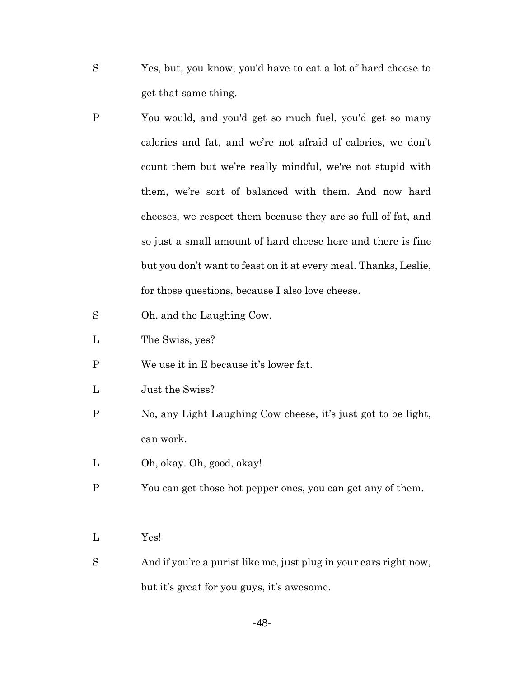- S Yes, but, you know, you'd have to eat a lot of hard cheese to get that same thing.
- P You would, and you'd get so much fuel, you'd get so many calories and fat, and we're not afraid of calories, we don't count them but we're really mindful, we're not stupid with them, we're sort of balanced with them. And now hard cheeses, we respect them because they are so full of fat, and so just a small amount of hard cheese here and there is fine but you don't want to feast on it at every meal. Thanks, Leslie, for those questions, because I also love cheese.
- S Oh, and the Laughing Cow.
- L The Swiss, yes?
- P We use it in E because it's lower fat.
- L Just the Swiss?
- P No, any Light Laughing Cow cheese, it's just got to be light, can work.
- L Oh, okay. Oh, good, okay!
- P You can get those hot pepper ones, you can get any of them.
- L Yes!
- S And if you're a purist like me, just plug in your ears right now, but it's great for you guys, it's awesome.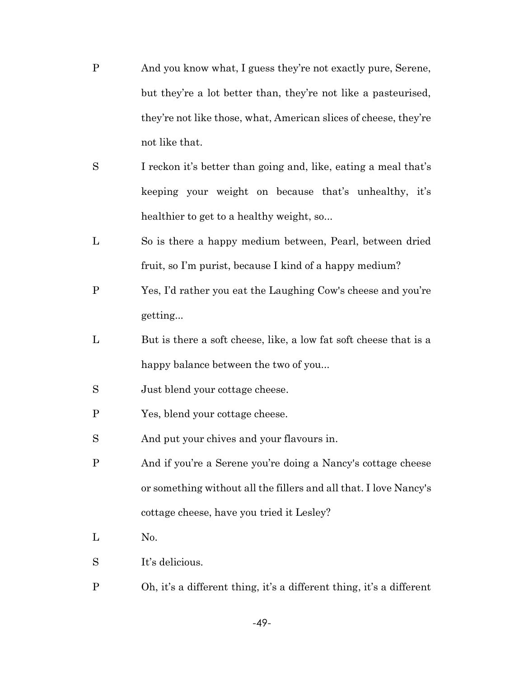- P And you know what, I guess they're not exactly pure, Serene, but they're a lot better than, they're not like a pasteurised, they're not like those, what, American slices of cheese, they're not like that.
- S I reckon it's better than going and, like, eating a meal that's keeping your weight on because that's unhealthy, it's healthier to get to a healthy weight, so...
- L So is there a happy medium between, Pearl, between dried fruit, so I'm purist, because I kind of a happy medium?
- P Yes, I'd rather you eat the Laughing Cow's cheese and you're getting...
- L But is there a soft cheese, like, a low fat soft cheese that is a happy balance between the two of you...
- S Just blend your cottage cheese.
- P Yes, blend your cottage cheese.
- S And put your chives and your flavours in.
- P And if you're a Serene you're doing a Nancy's cottage cheese or something without all the fillers and all that. I love Nancy's cottage cheese, have you tried it Lesley?
- L No.
- S It's delicious.
- P Oh, it's a different thing, it's a different thing, it's a different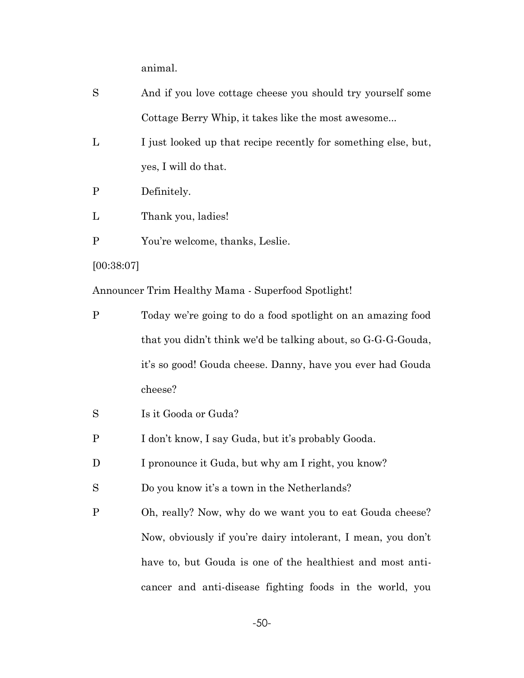animal.

- S And if you love cottage cheese you should try yourself some Cottage Berry Whip, it takes like the most awesome...
- L I just looked up that recipe recently for something else, but, yes, I will do that.
- P Definitely.
- L Thank you, ladies!
- P You're welcome, thanks, Leslie.

[00:38:07]

Announcer Trim Healthy Mama - Superfood Spotlight!

- P Today we're going to do a food spotlight on an amazing food that you didn't think we'd be talking about, so G-G-G-Gouda, it's so good! Gouda cheese. Danny, have you ever had Gouda cheese?
- S Is it Gooda or Guda?
- P I don't know, I say Guda, but it's probably Gooda.
- D I pronounce it Guda, but why am I right, you know?

S Do you know it's a town in the Netherlands?

P Oh, really? Now, why do we want you to eat Gouda cheese? Now, obviously if you're dairy intolerant, I mean, you don't have to, but Gouda is one of the healthiest and most anticancer and anti-disease fighting foods in the world, you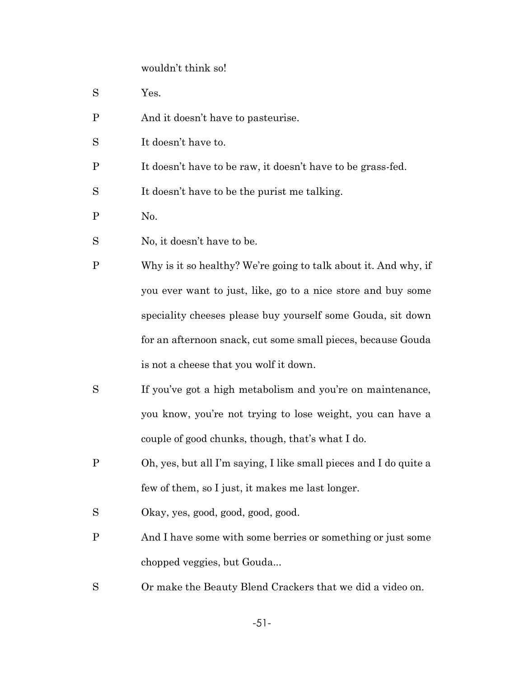#### wouldn't think so!

- S Yes.
- P And it doesn't have to pasteurise.
- S It doesn't have to.
- P It doesn't have to be raw, it doesn't have to be grass-fed.

S It doesn't have to be the purist me talking.

- P No.
- S No, it doesn't have to be.
- P Why is it so healthy? We're going to talk about it. And why, if you ever want to just, like, go to a nice store and buy some speciality cheeses please buy yourself some Gouda, sit down for an afternoon snack, cut some small pieces, because Gouda is not a cheese that you wolf it down.
- S If you've got a high metabolism and you're on maintenance, you know, you're not trying to lose weight, you can have a couple of good chunks, though, that's what I do.
- P Oh, yes, but all I'm saying, I like small pieces and I do quite a few of them, so I just, it makes me last longer.
- S Okay, yes, good, good, good, good.
- P And I have some with some berries or something or just some chopped veggies, but Gouda...
- S Or make the Beauty Blend Crackers that we did a video on.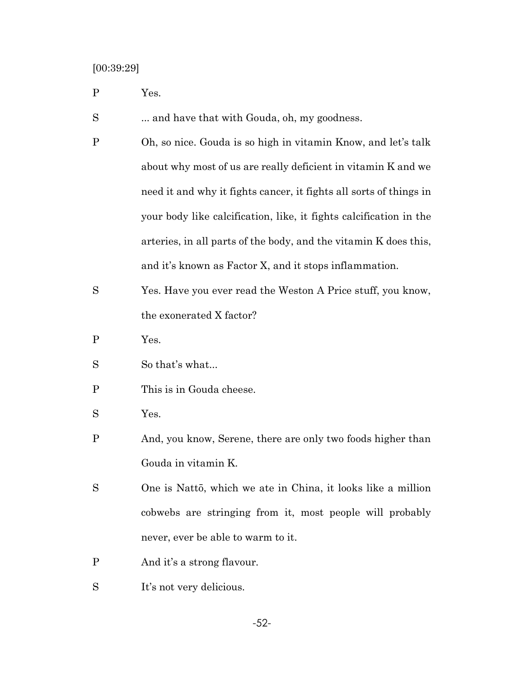[00:39:29]

P Yes.

S ... and have that with Gouda, oh, my goodness.

- P Oh, so nice. Gouda is so high in vitamin Know, and let's talk about why most of us are really deficient in vitamin K and we need it and why it fights cancer, it fights all sorts of things in your body like calcification, like, it fights calcification in the arteries, in all parts of the body, and the vitamin K does this, and it's known as Factor X, and it stops inflammation.
- S Yes. Have you ever read the Weston A Price stuff, you know, the exonerated X factor?
- P Yes.
- So that's what...
- P This is in Gouda cheese.
- S Yes.
- P And, you know, Serene, there are only two foods higher than Gouda in vitamin K.
- S One is Nattō, which we ate in China, it looks like a million cobwebs are stringing from it, most people will probably never, ever be able to warm to it.
- P And it's a strong flavour.
- S It's not very delicious.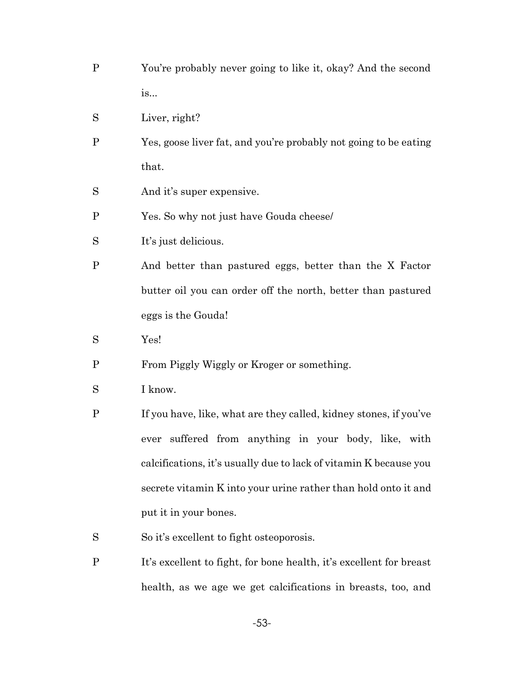- P You're probably never going to like it, okay? And the second is...
- S Liver, right?
- P Yes, goose liver fat, and you're probably not going to be eating that.
- S And it's super expensive.
- P Yes. So why not just have Gouda cheese/
- S It's just delicious.
- P And better than pastured eggs, better than the X Factor butter oil you can order off the north, better than pastured eggs is the Gouda!
- S Yes!
- P From Piggly Wiggly or Kroger or something.
- S I know.
- P If you have, like, what are they called, kidney stones, if you've ever suffered from anything in your body, like, with calcifications, it's usually due to lack of vitamin K because you secrete vitamin K into your urine rather than hold onto it and put it in your bones.
- S So it's excellent to fight osteoporosis.
- P It's excellent to fight, for bone health, it's excellent for breast health, as we age we get calcifications in breasts, too, and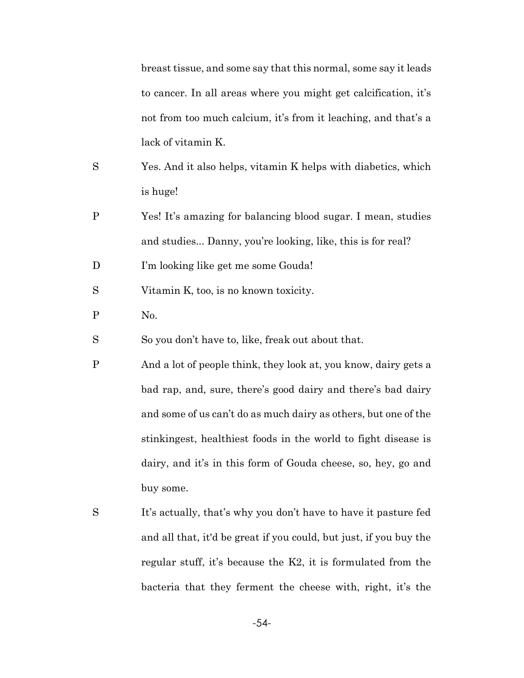breast tissue, and some say that this normal, some say it leads to cancer. In all areas where you might get calcification, it's not from too much calcium, it's from it leaching, and that's a lack of vitamin K.

- S Yes. And it also helps, vitamin K helps with diabetics, which is huge!
- P Yes! It's amazing for balancing blood sugar. I mean, studies and studies... Danny, you're looking, like, this is for real?

D I'm looking like get me some Gouda!

- S Vitamin K, too, is no known toxicity.
- P No.

S So you don't have to, like, freak out about that.

- P And a lot of people think, they look at, you know, dairy gets a bad rap, and, sure, there's good dairy and there's bad dairy and some of us can't do as much dairy as others, but one of the stinkingest, healthiest foods in the world to fight disease is dairy, and it's in this form of Gouda cheese, so, hey, go and buy some.
- S It's actually, that's why you don't have to have it pasture fed and all that, it'd be great if you could, but just, if you buy the regular stuff, it's because the K2, it is formulated from the bacteria that they ferment the cheese with, right, it's the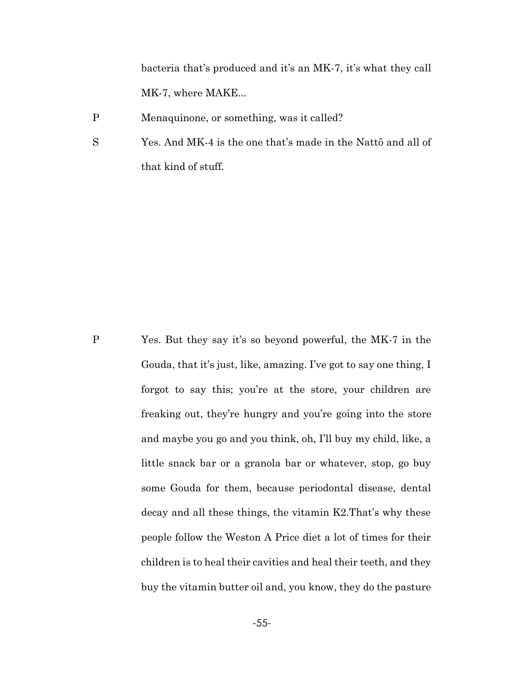bacteria that's produced and it's an MK-7, it's what they call MK-7, where MAKE...

P Menaquinone, or something, was it called?

S Yes. And MK-4 is the one that's made in the Nattō and all of that kind of stuff.

P Yes. But they say it's so beyond powerful, the MK-7 in the Gouda, that it's just, like, amazing. I've got to say one thing, I forgot to say this; you're at the store, your children are freaking out, they're hungry and you're going into the store and maybe you go and you think, oh, I'll buy my child, like, a little snack bar or a granola bar or whatever, stop, go buy some Gouda for them, because periodontal disease, dental decay and all these things, the vitamin K2.That's why these people follow the Weston A Price diet a lot of times for their children is to heal their cavities and heal their teeth, and they buy the vitamin butter oil and, you know, they do the pasture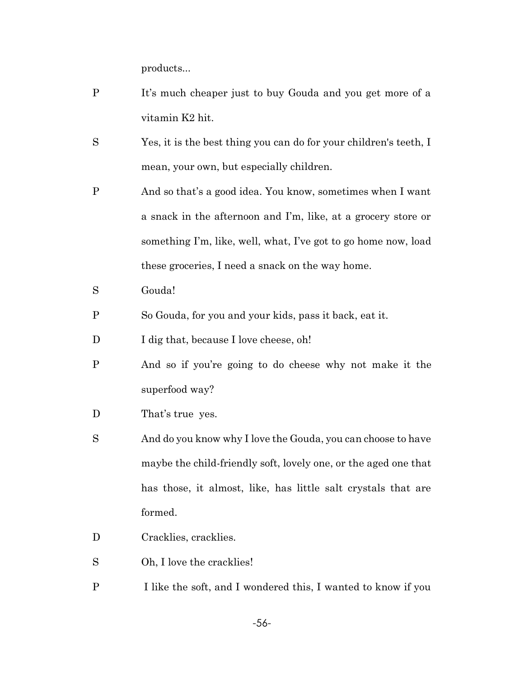products...

- P It's much cheaper just to buy Gouda and you get more of a vitamin K2 hit.
- S Yes, it is the best thing you can do for your children's teeth, I mean, your own, but especially children.
- P And so that's a good idea. You know, sometimes when I want a snack in the afternoon and I'm, like, at a grocery store or something I'm, like, well, what, I've got to go home now, load these groceries, I need a snack on the way home.
- S Gouda!
- P So Gouda, for you and your kids, pass it back, eat it.
- D I dig that, because I love cheese, oh!
- P And so if you're going to do cheese why not make it the superfood way?
- D That's true yes.
- S And do you know why I love the Gouda, you can choose to have maybe the child-friendly soft, lovely one, or the aged one that has those, it almost, like, has little salt crystals that are formed.
- D Cracklies, cracklies.
- S Oh, I love the cracklies!
- P I like the soft, and I wondered this, I wanted to know if you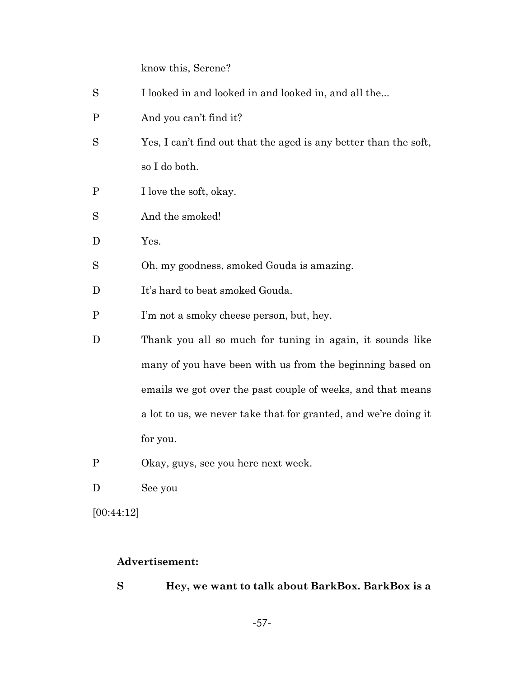know this, Serene?

| S            | I looked in and looked in and looked in, and all the             |
|--------------|------------------------------------------------------------------|
| $\mathbf P$  | And you can't find it?                                           |
| S            | Yes, I can't find out that the aged is any better than the soft, |
|              | so I do both.                                                    |
| P            | I love the soft, okay.                                           |
| S            | And the smoked!                                                  |
| D            | Yes.                                                             |
| S            | Oh, my goodness, smoked Gouda is amazing.                        |
| D            | It's hard to beat smoked Gouda.                                  |
| $\mathbf{P}$ | I'm not a smoky cheese person, but, hey.                         |
| D            | Thank you all so much for tuning in again, it sounds like        |
|              | many of you have been with us from the beginning based on        |
|              | emails we got over the past couple of weeks, and that means      |
|              | a lot to us, we never take that for granted, and we're doing it  |
|              | for you.                                                         |
| P            | Okay, guys, see you here next week.                              |

D See you

[00:44:12]

# **Advertisement:**

**S Hey, we want to talk about BarkBox. BarkBox is a**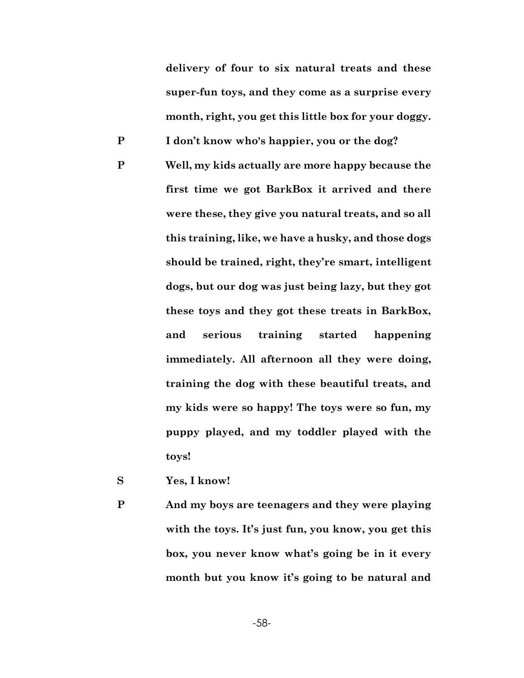**delivery of four to six natural treats and these super-fun toys, and they come as a surprise every month, right, you get this little box for your doggy.**

**P I don't know who's happier, you or the dog?**

- **P Well, my kids actually are more happy because the first time we got BarkBox it arrived and there were these, they give you natural treats, and so all this training, like, we have a husky, and those dogs should be trained, right, they're smart, intelligent dogs, but our dog was just being lazy, but they got these toys and they got these treats in BarkBox, and serious training started happening immediately. All afternoon all they were doing, training the dog with these beautiful treats, and my kids were so happy! The toys were so fun, my puppy played, and my toddler played with the toys!**
- **S Yes, I know!**
- **P And my boys are teenagers and they were playing with the toys. It's just fun, you know, you get this box, you never know what's going be in it every month but you know it's going to be natural and**